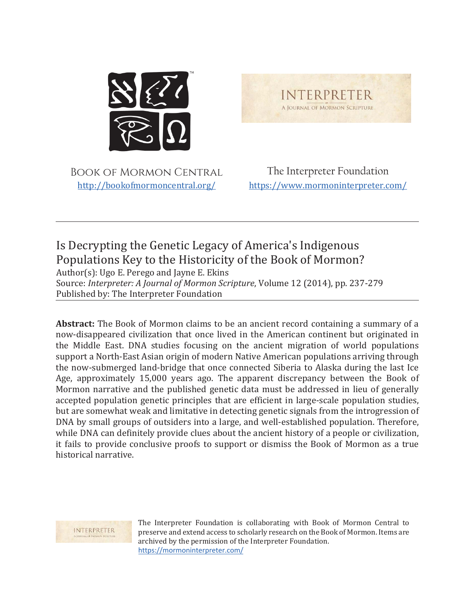

Book of Mormon Central <http://bookofmormoncentral.org/>

The Interpreter Foundation <https://www.mormoninterpreter.com/>

**INTERPRETER** A JOURNAL OF MORMON SCRIPTURE

# Is Decrypting the Genetic Legacy of America's Indigenous Populations Key to the Historicity of the Book of Mormon?

Author(s): Ugo E. Perego and Jayne E. Ekins

Source: *Interpreter: A Journal of Mormon Scripture*, Volume 12 (2014), pp. 237-279 Published by: The Interpreter Foundation

**Abstract:** The Book of Mormon claims to be an ancient record containing a summary of a now-disappeared civilization that once lived in the American continent but originated in the Middle East. DNA studies focusing on the ancient migration of world populations support a North-East Asian origin of modern Native American populations arriving through the now-submerged land-bridge that once connected Siberia to Alaska during the last Ice Age, approximately 15,000 years ago. The apparent discrepancy between the Book of Mormon narrative and the published genetic data must be addressed in lieu of generally accepted population genetic principles that are efficient in large-scale population studies, but are somewhat weak and limitative in detecting genetic signals from the introgression of DNA by small groups of outsiders into a large, and well-established population. Therefore, while DNA can definitely provide clues about the ancient history of a people or civilization, it fails to provide conclusive proofs to support or dismiss the Book of Mormon as a true historical narrative.

INTERPRETER

The Interpreter Foundation is collaborating with Book of Mormon Central to preserve and extend access to scholarly research on the Book of Mormon. Items are archived by the permission of the Interpreter Foundation. <https://mormoninterpreter.com/>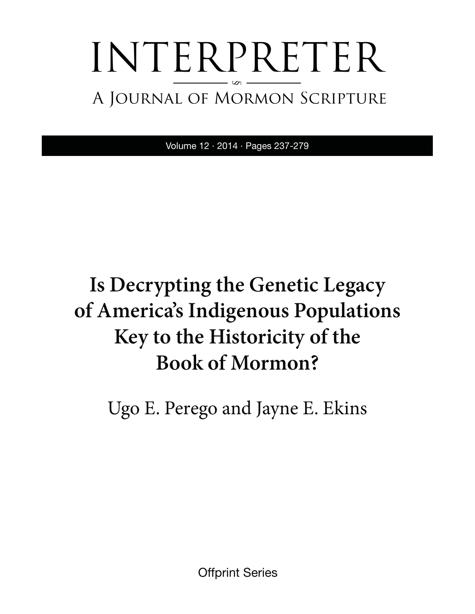# INTERPRETER A Journal of Mormon Scripture §

Volume 12 · 2014 · Pages 237-279

# **Is Decrypting the Genetic Legacy of America's Indigenous Populations Key to the Historicity of the Book of Mormon?**

Ugo E. Perego and Jayne E. Ekins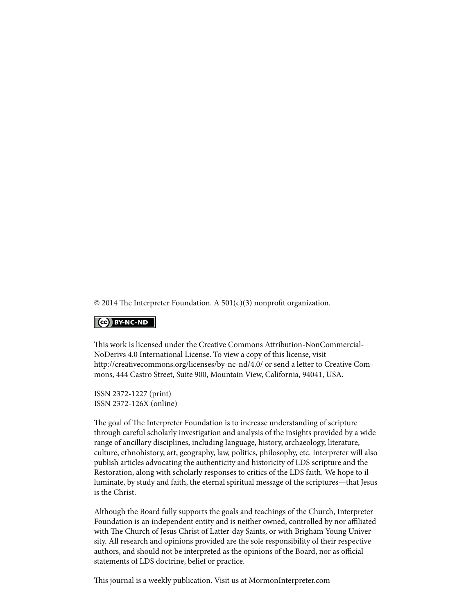$\odot$  2014 The Interpreter Foundation. A 501(c)(3) nonprofit organization.

#### $\left| \right|$  (cc) BY-NC-ND

This work is licensed under the Creative Commons Attribution-NonCommercial-NoDerivs 4.0 International License. To view a copy of this license, visit [http://creativecommons.org/licenses/by-nc-nd/4.0/ or](http://creativecommons.org/licenses/by-nc-nd/4.0/) send a letter to Creative Commons, 444 Castro Street, Suite 900, Mountain View, California, 94041, USA.

ISSN 2372-1227 (print) ISSN 2372-126X (online)

The goal of The Interpreter Foundation is to increase understanding of scripture through careful scholarly investigation and analysis of the insights provided by a wide range of ancillary disciplines, including language, history, archaeology, literature, culture, ethnohistory, art, geography, law, politics, philosophy, etc. Interpreter will also publish articles advocating the authenticity and historicity of LDS scripture and the Restoration, along with scholarly responses to critics of the LDS faith. We hope to illuminate, by study and faith, the eternal spiritual message of the scriptures—that Jesus is the Christ.

Although the Board fully supports the goals and teachings of the Church, Interpreter Foundation is an independent entity and is neither owned, controlled by nor affiliated with The Church of Jesus Christ of Latter-day Saints, or with Brigham Young University. All research and opinions provided are the sole responsibility of their respective authors, and should not be interpreted as the opinions of the Board, nor as official statements of LDS doctrine, belief or practice.

This journal is a weekly publication. Visit us at MormonInterpreter.com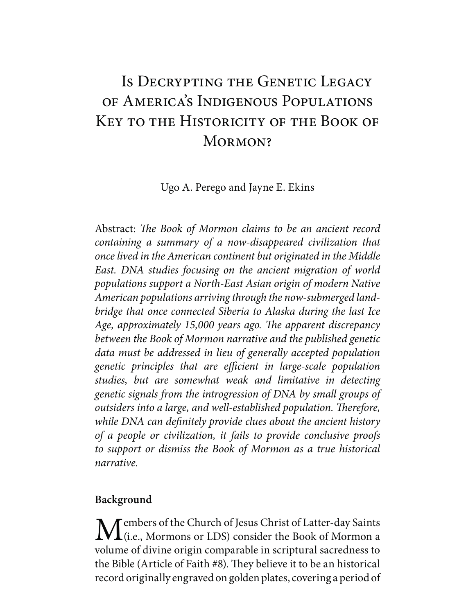# Is DECRYPTING THE GENETIC LEGACY of America's Indigenous Populations Key to the Historicity of the Book of MORMON?

Ugo A. Perego and Jayne E. Ekins

Abstract: *The Book of Mormon claims to be an ancient record containing a summary of a now-disappeared civilization that once lived in the American continent but originated in the Middle East. DNA studies focusing on the ancient migration of world populations support a North-East Asian origin of modern Native American populations arriving through the now-submerged landbridge that once connected Siberia to Alaska during the last Ice Age, approximately 15,000 years ago. The apparent discrepancy between the Book of Mormon narrative and the published genetic data must be addressed in lieu of generally accepted population genetic principles that are efficient in large-scale population studies, but are somewhat weak and limitative in detecting genetic signals from the introgression of DNA by small groups of outsiders into a large, and well-established population. Therefore, while DNA can definitely provide clues about the ancient history of a people or civilization, it fails to provide conclusive proofs to support or dismiss the Book of Mormon as a true historical narrative.*

# **Background**

Members of the Church of Jesus Christ of Latter-day Saints<br>
(i.e., Mormons or LDS) consider the Book of Mormon a volume of divine origin comparable in scriptural sacredness to the Bible (Article of Faith #8). They believe it to be an historical record originally engraved on golden plates, covering a period of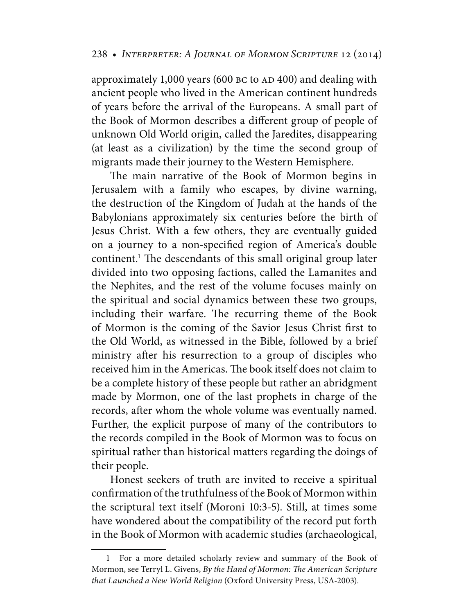approximately 1,000 years (600 BC to AD 400) and dealing with ancient people who lived in the American continent hundreds of years before the arrival of the Europeans. A small part of the Book of Mormon describes a different group of people of unknown Old World origin, called the Jaredites, disappearing (at least as a civilization) by the time the second group of migrants made their journey to the Western Hemisphere.

The main narrative of the Book of Mormon begins in Jerusalem with a family who escapes, by divine warning, the destruction of the Kingdom of Judah at the hands of the Babylonians approximately six centuries before the birth of Jesus Christ. With a few others, they are eventually guided on a journey to a non-specified region of America's double continent.<sup>1</sup> The descendants of this small original group later divided into two opposing factions, called the Lamanites and the Nephites, and the rest of the volume focuses mainly on the spiritual and social dynamics between these two groups, including their warfare. The recurring theme of the Book of Mormon is the coming of the Savior Jesus Christ first to the Old World, as witnessed in the Bible, followed by a brief ministry after his resurrection to a group of disciples who received him in the Americas. The book itself does not claim to be a complete history of these people but rather an abridgment made by Mormon, one of the last prophets in charge of the records, after whom the whole volume was eventually named. Further, the explicit purpose of many of the contributors to the records compiled in the Book of Mormon was to focus on spiritual rather than historical matters regarding the doings of their people.

Honest seekers of truth are invited to receive a spiritual confirmation of the truthfulness of the Book of Mormon within the scriptural text itself (Moroni 10:3-5). Still, at times some have wondered about the compatibility of the record put forth in the Book of Mormon with academic studies (archaeological,

 <sup>1</sup> For a more detailed scholarly review and summary of the Book of Mormon, see Terryl L. Givens, *By the Hand of Mormon: The American Scripture that Launched a New World Religion* (Oxford University Press, USA-2003).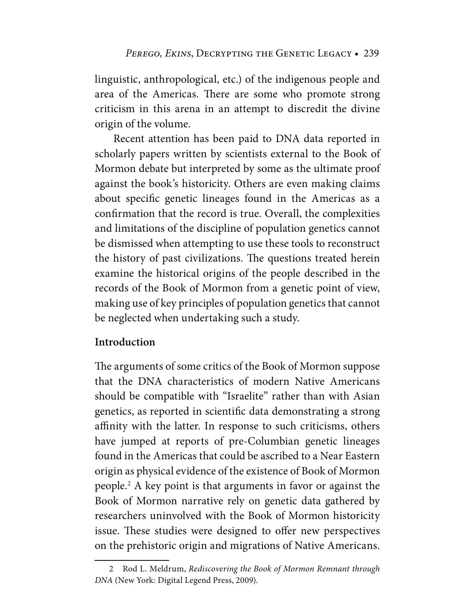linguistic, anthropological, etc.) of the indigenous people and area of the Americas. There are some who promote strong criticism in this arena in an attempt to discredit the divine origin of the volume.

Recent attention has been paid to DNA data reported in scholarly papers written by scientists external to the Book of Mormon debate but interpreted by some as the ultimate proof against the book's historicity. Others are even making claims about specific genetic lineages found in the Americas as a confirmation that the record is true. Overall, the complexities and limitations of the discipline of population genetics cannot be dismissed when attempting to use these tools to reconstruct the history of past civilizations. The questions treated herein examine the historical origins of the people described in the records of the Book of Mormon from a genetic point of view, making use of key principles of population genetics that cannot be neglected when undertaking such a study.

# **Introduction**

The arguments of some critics of the Book of Mormon suppose that the DNA characteristics of modern Native Americans should be compatible with "Israelite" rather than with Asian genetics, as reported in scientific data demonstrating a strong affinity with the latter. In response to such criticisms, others have jumped at reports of pre-Columbian genetic lineages found in the Americas that could be ascribed to a Near Eastern origin as physical evidence of the existence of Book of Mormon people.2 A key point is that arguments in favor or against the Book of Mormon narrative rely on genetic data gathered by researchers uninvolved with the Book of Mormon historicity issue. These studies were designed to offer new perspectives on the prehistoric origin and migrations of Native Americans.

 <sup>2</sup> Rod L. Meldrum, *Rediscovering the Book of Mormon Remnant through DNA* (New York: Digital Legend Press, 2009).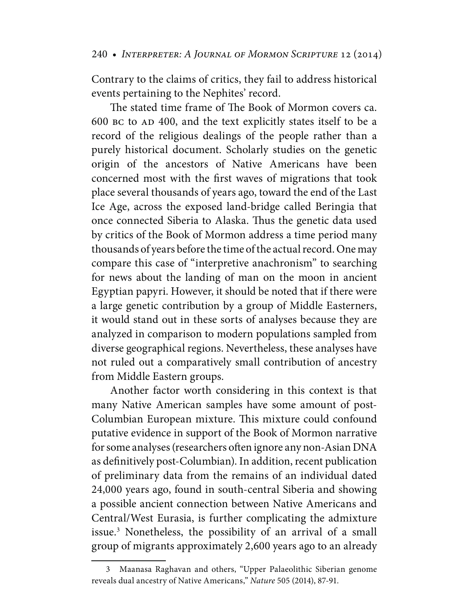Contrary to the claims of critics, they fail to address historical events pertaining to the Nephites' record.

The stated time frame of The Book of Mormon covers ca. 600 bc to AD 400, and the text explicitly states itself to be a record of the religious dealings of the people rather than a purely historical document. Scholarly studies on the genetic origin of the ancestors of Native Americans have been concerned most with the first waves of migrations that took place several thousands of years ago, toward the end of the Last Ice Age, across the exposed land-bridge called Beringia that once connected Siberia to Alaska. Thus the genetic data used by critics of the Book of Mormon address a time period many thousands of years before the time of the actual record. One may compare this case of "interpretive anachronism" to searching for news about the landing of man on the moon in ancient Egyptian papyri. However, it should be noted that if there were a large genetic contribution by a group of Middle Easterners, it would stand out in these sorts of analyses because they are analyzed in comparison to modern populations sampled from diverse geographical regions. Nevertheless, these analyses have not ruled out a comparatively small contribution of ancestry from Middle Eastern groups.

Another factor worth considering in this context is that many Native American samples have some amount of post-Columbian European mixture. This mixture could confound putative evidence in support of the Book of Mormon narrative for some analyses (researchers often ignore any non-Asian DNA as definitively post-Columbian). In addition, recent publication of preliminary data from the remains of an individual dated 24,000 years ago, found in south-central Siberia and showing a possible ancient connection between Native Americans and Central/West Eurasia, is further complicating the admixture issue.<sup>3</sup> Nonetheless, the possibility of an arrival of a small group of migrants approximately 2,600 years ago to an already

 <sup>3</sup> Maanasa Raghavan and others, "Upper Palaeolithic Siberian genome reveals dual ancestry of Native Americans," *Nature* 505 (2014), 87-91.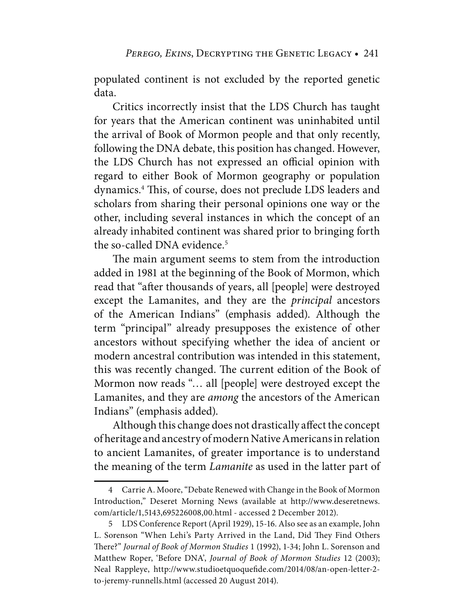populated continent is not excluded by the reported genetic data.

Critics incorrectly insist that the LDS Church has taught for years that the American continent was uninhabited until the arrival of Book of Mormon people and that only recently, following the DNA debate, this position has changed. However, the LDS Church has not expressed an official opinion with regard to either Book of Mormon geography or population dynamics.4 This, of course, does not preclude LDS leaders and scholars from sharing their personal opinions one way or the other, including several instances in which the concept of an already inhabited continent was shared prior to bringing forth the so-called DNA evidence.<sup>5</sup>

The main argument seems to stem from the introduction added in 1981 at the beginning of the Book of Mormon, which read that "after thousands of years, all [people] were destroyed except the Lamanites, and they are the *principal* ancestors of the American Indians" (emphasis added). Although the term "principal" already presupposes the existence of other ancestors without specifying whether the idea of ancient or modern ancestral contribution was intended in this statement, this was recently changed. The current edition of the Book of Mormon now reads "… all [people] were destroyed except the Lamanites, and they are *among* the ancestors of the American Indians" (emphasis added).

Although this change does not drastically affect the concept of heritage and ancestry of modern Native Americans in relation to ancient Lamanites, of greater importance is to understand the meaning of the term *Lamanite* as used in the latter part of

 <sup>4</sup> Carrie A. Moore, "Debate Renewed with Change in the Book of Mormon Introduction," Deseret Morning News (available at [http://www.deseretnews.](http://www.deseretnews) com/article/1,5143,695226008,00.html - accessed 2 December 2012).

 <sup>5</sup> LDS Conference Report (April 1929), 15-16. Also see as an example, John L. Sorenson "When Lehi's Party Arrived in the Land, Did They Find Others There?" *Journal of Book of Mormon Studies* 1 (1992), 1-34; John L. Sorenson and Matthew Roper, 'Before DNA', *Journal of Book of Mormon Studies* 12 (2003); Neal Rappleye, [http://www.studioetquoquefide.com/2014/08/an-open-letter-2](http://www.studioetquoquefide.com/2014/08/an-open-letter-2-to-jeremy-runnells.html) [to-jeremy-runnells.html \(ac](http://www.studioetquoquefide.com/2014/08/an-open-letter-2-to-jeremy-runnells.html)cessed 20 August 2014).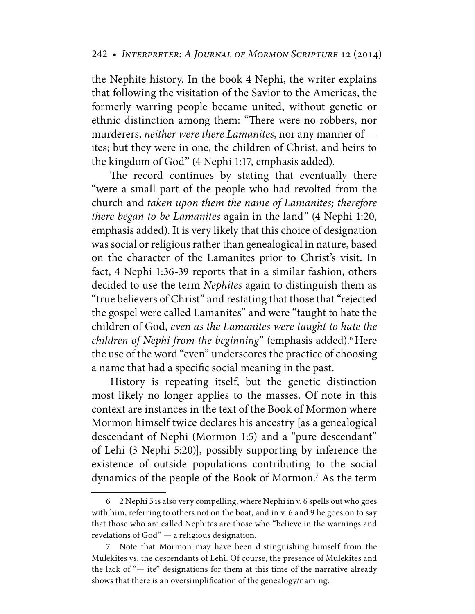the Nephite history. In the book 4 Nephi, the writer explains that following the visitation of the Savior to the Americas, the formerly warring people became united, without genetic or ethnic distinction among them: "There were no robbers, nor murderers, *neither were there Lamanites*, nor any manner of ites; but they were in one, the children of Christ, and heirs to the kingdom of God" (4 Nephi 1:17, emphasis added).

The record continues by stating that eventually there "were a small part of the people who had revolted from the church and *taken upon them the name of Lamanites; therefore there began to be Lamanites* again in the land" (4 Nephi 1:20, emphasis added). It is very likely that this choice of designation was social or religious rather than genealogical in nature, based on the character of the Lamanites prior to Christ's visit. In fact, 4 Nephi 1:36-39 reports that in a similar fashion, others decided to use the term *Nephites* again to distinguish them as "true believers of Christ" and restating that those that "rejected the gospel were called Lamanites" and were "taught to hate the children of God, *even as the Lamanites were taught to hate the children of Nephi from the beginning*" (emphasis added).6 Here the use of the word "even" underscores the practice of choosing a name that had a specific social meaning in the past.

History is repeating itself, but the genetic distinction most likely no longer applies to the masses. Of note in this context are instances in the text of the Book of Mormon where Mormon himself twice declares his ancestry [as a genealogical descendant of Nephi (Mormon 1:5) and a "pure descendant" of Lehi (3 Nephi 5:20)], possibly supporting by inference the existence of outside populations contributing to the social dynamics of the people of the Book of Mormon.7 As the term

 <sup>6 2</sup> Nephi 5 is also very compelling, where Nephi in v. 6 spells out who goes with him, referring to others not on the boat, and in v. 6 and 9 he goes on to say that those who are called Nephites are those who "believe in the warnings and revelations of God" — a religious designation.

 <sup>7</sup> Note that Mormon may have been distinguishing himself from the Mulekites vs. the descendants of Lehi. Of course, the presence of Mulekites and the lack of "— ite" designations for them at this time of the narrative already shows that there is an oversimplification of the genealogy/naming.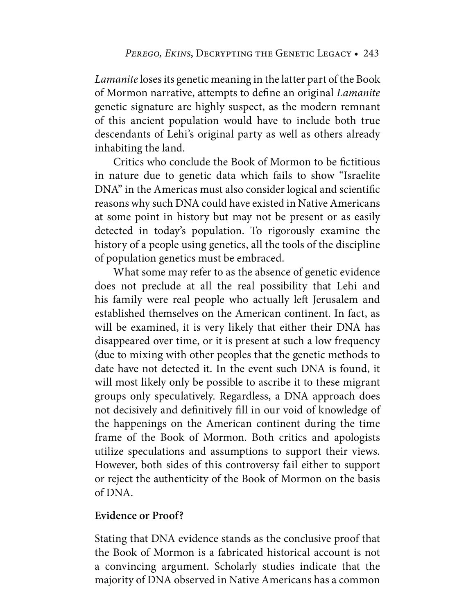*Lamanite* loses its genetic meaning in the latter part of the Book of Mormon narrative, attempts to define an original *Lamanite* genetic signature are highly suspect, as the modern remnant of this ancient population would have to include both true descendants of Lehi's original party as well as others already inhabiting the land.

Critics who conclude the Book of Mormon to be fictitious in nature due to genetic data which fails to show "Israelite DNA" in the Americas must also consider logical and scientific reasons why such DNA could have existed in Native Americans at some point in history but may not be present or as easily detected in today's population. To rigorously examine the history of a people using genetics, all the tools of the discipline of population genetics must be embraced.

What some may refer to as the absence of genetic evidence does not preclude at all the real possibility that Lehi and his family were real people who actually left Jerusalem and established themselves on the American continent. In fact, as will be examined, it is very likely that either their DNA has disappeared over time, or it is present at such a low frequency (due to mixing with other peoples that the genetic methods to date have not detected it. In the event such DNA is found, it will most likely only be possible to ascribe it to these migrant groups only speculatively. Regardless, a DNA approach does not decisively and definitively fill in our void of knowledge of the happenings on the American continent during the time frame of the Book of Mormon. Both critics and apologists utilize speculations and assumptions to support their views. However, both sides of this controversy fail either to support or reject the authenticity of the Book of Mormon on the basis of DNA.

# **Evidence or Proof?**

Stating that DNA evidence stands as the conclusive proof that the Book of Mormon is a fabricated historical account is not a convincing argument. Scholarly studies indicate that the majority of DNA observed in Native Americans has a common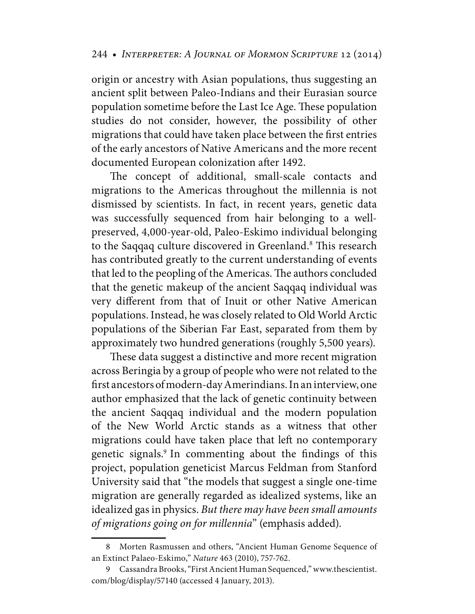origin or ancestry with Asian populations, thus suggesting an ancient split between Paleo-Indians and their Eurasian source population sometime before the Last Ice Age. These population studies do not consider, however, the possibility of other migrations that could have taken place between the first entries of the early ancestors of Native Americans and the more recent documented European colonization after 1492.

The concept of additional, small-scale contacts and migrations to the Americas throughout the millennia is not dismissed by scientists. In fact, in recent years, genetic data was successfully sequenced from hair belonging to a wellpreserved, 4,000-year-old, Paleo-Eskimo individual belonging to the Saqqaq culture discovered in Greenland.<sup>8</sup> This research has contributed greatly to the current understanding of events that led to the peopling of the Americas. The authors concluded that the genetic makeup of the ancient Saqqaq individual was very different from that of Inuit or other Native American populations. Instead, he was closely related to Old World Arctic populations of the Siberian Far East, separated from them by approximately two hundred generations (roughly 5,500 years).

These data suggest a distinctive and more recent migration across Beringia by a group of people who were not related to the first ancestors of modern-day Amerindians. In an interview, one author emphasized that the lack of genetic continuity between the ancient Saqqaq individual and the modern population of the New World Arctic stands as a witness that other migrations could have taken place that left no contemporary genetic signals.<sup>9</sup> In commenting about the findings of this project, population geneticist Marcus Feldman from Stanford University said that "the models that suggest a single one-time migration are generally regarded as idealized systems, like an idealized gas in physics. *But there may have been small amounts of migrations going on for millennia*" (emphasis added).

 <sup>8</sup> Morten Rasmussen and others, "Ancient Human Genome Sequence of an Extinct Palaeo-Eskimo," *Nature* 463 (2010), 757-762.

 <sup>9</sup> Cassandra Brooks, "First Ancient Human Sequenced," [www.thescientist.](http://www.thescientist) com/blog/display/57140 (accessed 4 January, 2013).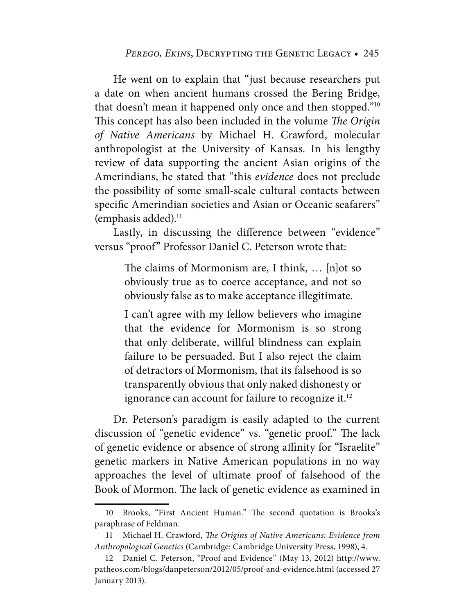He went on to explain that "just because researchers put a date on when ancient humans crossed the Bering Bridge, that doesn't mean it happened only once and then stopped."10 This concept has also been included in the volume *The Origin of Native Americans* by Michael H. Crawford, molecular anthropologist at the University of Kansas. In his lengthy review of data supporting the ancient Asian origins of the Amerindians, he stated that "this *evidence* does not preclude the possibility of some small-scale cultural contacts between specific Amerindian societies and Asian or Oceanic seafarers" (emphasis added). $<sup>11</sup>$ </sup>

Lastly, in discussing the difference between "evidence" versus "proof" Professor Daniel C. Peterson wrote that:

> The claims of Mormonism are, I think, … [n]ot so obviously true as to coerce acceptance, and not so obviously false as to make acceptance illegitimate.

> I can't agree with my fellow believers who imagine that the evidence for Mormonism is so strong that only deliberate, willful blindness can explain failure to be persuaded. But I also reject the claim of detractors of Mormonism, that its falsehood is so transparently obvious that only naked dishonesty or ignorance can account for failure to recognize it.<sup>12</sup>

Dr. Peterson's paradigm is easily adapted to the current discussion of "genetic evidence" vs. "genetic proof." The lack of genetic evidence or absence of strong affinity for "Israelite" genetic markers in Native American populations in no way approaches the level of ultimate proof of falsehood of the Book of Mormon. The lack of genetic evidence as examined in

 <sup>10</sup> Brooks, "First Ancient Human." The second quotation is Brooks's paraphrase of Feldman.

 <sup>11</sup> Michael H. Crawford, *The Origins of Native Americans: Evidence from Anthropological Genetics* (Cambridge: Cambridge University Press, 1998), 4.

 <sup>12</sup> Daniel C. Peterson, "Proof and Evidence" (May 13, 2012) [http://www.](http://www) patheos.com/blogs/danpeterson/2012/05/proof-and-evidence.html (accessed 27 January 2013).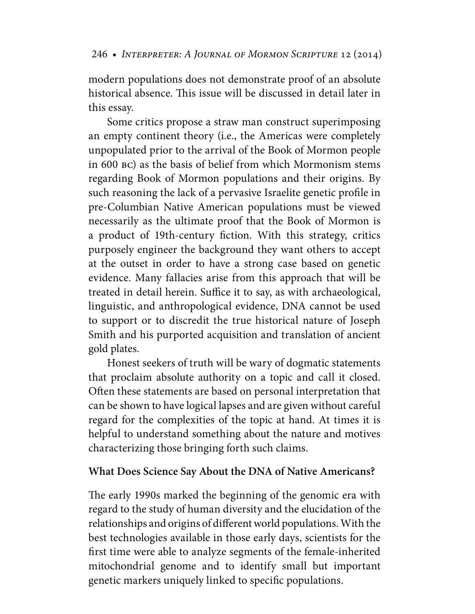modern populations does not demonstrate proof of an absolute historical absence. This issue will be discussed in detail later in this essay.

Some critics propose a straw man construct superimposing an empty continent theory (i.e., the Americas were completely unpopulated prior to the arrival of the Book of Mormon people in 600 bc) as the basis of belief from which Mormonism stems regarding Book of Mormon populations and their origins. By such reasoning the lack of a pervasive Israelite genetic profile in pre-Columbian Native American populations must be viewed necessarily as the ultimate proof that the Book of Mormon is a product of 19th-century fiction. With this strategy, critics purposely engineer the background they want others to accept at the outset in order to have a strong case based on genetic evidence. Many fallacies arise from this approach that will be treated in detail herein. Suffice it to say, as with archaeological, linguistic, and anthropological evidence, DNA cannot be used to support or to discredit the true historical nature of Joseph Smith and his purported acquisition and translation of ancient gold plates.

Honest seekers of truth will be wary of dogmatic statements that proclaim absolute authority on a topic and call it closed. Often these statements are based on personal interpretation that can be shown to have logical lapses and are given without careful regard for the complexities of the topic at hand. At times it is helpful to understand something about the nature and motives characterizing those bringing forth such claims.

# **What Does Science Say About the DNA of Native Americans?**

The early 1990s marked the beginning of the genomic era with regard to the study of human diversity and the elucidation of the relationships and origins of different world populations. With the best technologies available in those early days, scientists for the first time were able to analyze segments of the female-inherited mitochondrial genome and to identify small but important genetic markers uniquely linked to specific populations.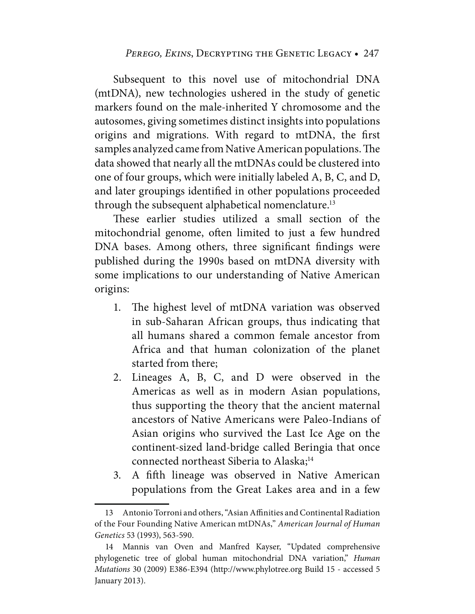#### PEREGO, EKINS, DECRYPTING THE GENETIC LEGACY • 247

Subsequent to this novel use of mitochondrial DNA (mtDNA), new technologies ushered in the study of genetic markers found on the male-inherited Y chromosome and the autosomes, giving sometimes distinct insights into populations origins and migrations. With regard to mtDNA, the first samples analyzed came from Native American populations. The data showed that nearly all the mtDNAs could be clustered into one of four groups, which were initially labeled A, B, C, and D, and later groupings identified in other populations proceeded through the subsequent alphabetical nomenclature.<sup>13</sup>

These earlier studies utilized a small section of the mitochondrial genome, often limited to just a few hundred DNA bases. Among others, three significant findings were published during the 1990s based on mtDNA diversity with some implications to our understanding of Native American origins:

- 1. The highest level of mtDNA variation was observed in sub-Saharan African groups, thus indicating that all humans shared a common female ancestor from Africa and that human colonization of the planet started from there;
- 2. Lineages A, B, C, and D were observed in the Americas as well as in modern Asian populations, thus supporting the theory that the ancient maternal ancestors of Native Americans were Paleo-Indians of Asian origins who survived the Last Ice Age on the continent-sized land-bridge called Beringia that once connected northeast Siberia to Alaska;<sup>14</sup>
- 3. A fifth lineage was observed in Native American populations from the Great Lakes area and in a few

 <sup>13</sup> Antonio Torroni and others, "Asian Affinities and Continental Radiation of the Four Founding Native American mtDNAs," *American Journal of Human Genetics* 53 (1993), 563-590.

 <sup>14</sup> Mannis van Oven and Manfred Kayser, "Updated comprehensive phylogenetic tree of global human mitochondrial DNA variation," *Human Mutations* 30 (2009) E386-E394 [\(http://www.phylotree.org Build 15 - accessed 5](http://www.phylotree.orgBuild15-accessed5January2013)  [January 2013\).](http://www.phylotree.orgBuild15-accessed5January2013)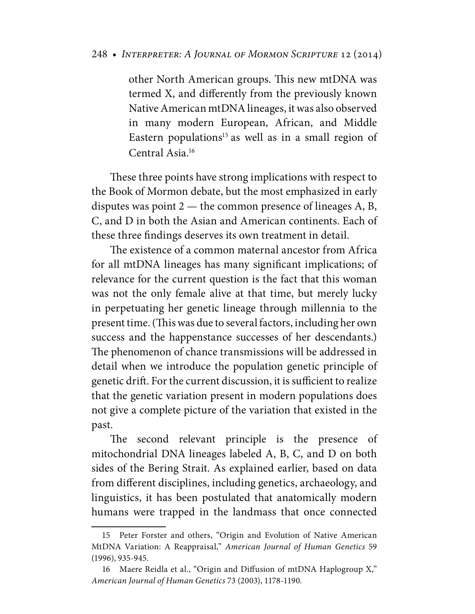other North American groups. This new mtDNA was termed X, and differently from the previously known Native American mtDNA lineages, it was also observed in many modern European, African, and Middle Eastern populations<sup>15</sup> as well as in a small region of Central Asia.16

These three points have strong implications with respect to the Book of Mormon debate, but the most emphasized in early disputes was point 2 — the common presence of lineages A, B, C, and D in both the Asian and American continents. Each of these three findings deserves its own treatment in detail.

The existence of a common maternal ancestor from Africa for all mtDNA lineages has many significant implications; of relevance for the current question is the fact that this woman was not the only female alive at that time, but merely lucky in perpetuating her genetic lineage through millennia to the present time. (This was due to several factors, including her own success and the happenstance successes of her descendants.) The phenomenon of chance transmissions will be addressed in detail when we introduce the population genetic principle of genetic drift. For the current discussion, it is sufficient to realize that the genetic variation present in modern populations does not give a complete picture of the variation that existed in the past.

The second relevant principle is the presence of mitochondrial DNA lineages labeled A, B, C, and D on both sides of the Bering Strait. As explained earlier, based on data from different disciplines, including genetics, archaeology, and linguistics, it has been postulated that anatomically modern humans were trapped in the landmass that once connected

 <sup>15</sup> Peter Forster and others, "Origin and Evolution of Native American MtDNA Variation: A Reappraisal," *American Journal of Human Genetics* 59 (1996), 935-945.

 <sup>16</sup> Maere Reidla et al., "Origin and Diffusion of mtDNA Haplogroup X," *American Journal of Human Genetics* 73 (2003), 1178-1190.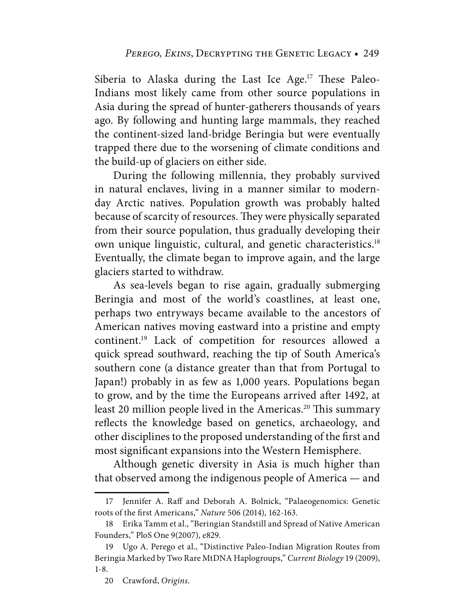Siberia to Alaska during the Last Ice Age.<sup>17</sup> These Paleo-Indians most likely came from other source populations in Asia during the spread of hunter-gatherers thousands of years ago. By following and hunting large mammals, they reached the continent-sized land-bridge Beringia but were eventually trapped there due to the worsening of climate conditions and the build-up of glaciers on either side.

During the following millennia, they probably survived in natural enclaves, living in a manner similar to modernday Arctic natives. Population growth was probably halted because of scarcity of resources. They were physically separated from their source population, thus gradually developing their own unique linguistic, cultural, and genetic characteristics.18 Eventually, the climate began to improve again, and the large glaciers started to withdraw.

As sea-levels began to rise again, gradually submerging Beringia and most of the world's coastlines, at least one, perhaps two entryways became available to the ancestors of American natives moving eastward into a pristine and empty continent.19 Lack of competition for resources allowed a quick spread southward, reaching the tip of South America's southern cone (a distance greater than that from Portugal to Japan!) probably in as few as 1,000 years. Populations began to grow, and by the time the Europeans arrived after 1492, at least 20 million people lived in the Americas.<sup>20</sup> This summary reflects the knowledge based on genetics, archaeology, and other disciplines to the proposed understanding of the first and most significant expansions into the Western Hemisphere.

Although genetic diversity in Asia is much higher than that observed among the indigenous people of America — and

 <sup>17</sup> Jennifer A. Raff and Deborah A. Bolnick, "Palaeogenomics: Genetic roots of the first Americans," *Nature* 506 (2014), 162-163.

 <sup>18</sup> Erika Tamm et al., "Beringian Standstill and Spread of Native American Founders," PloS One 9(2007), e829.

 <sup>19</sup> Ugo A. Perego et al., "Distinctive Paleo-Indian Migration Routes from Beringia Marked by Two Rare MtDNA Haplogroups," *Current Biology* 19 (2009), 1-8.

 <sup>20</sup> Crawford, *Origins*.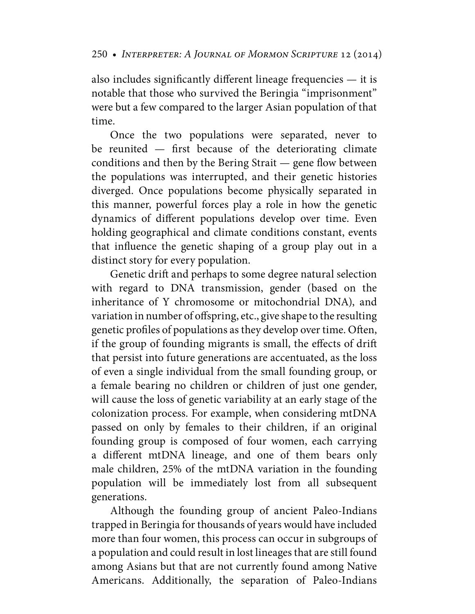also includes significantly different lineage frequencies — it is notable that those who survived the Beringia "imprisonment" were but a few compared to the larger Asian population of that time.

Once the two populations were separated, never to be reunited  $-$  first because of the deteriorating climate conditions and then by the Bering Strait — gene flow between the populations was interrupted, and their genetic histories diverged. Once populations become physically separated in this manner, powerful forces play a role in how the genetic dynamics of different populations develop over time. Even holding geographical and climate conditions constant, events that influence the genetic shaping of a group play out in a distinct story for every population.

Genetic drift and perhaps to some degree natural selection with regard to DNA transmission, gender (based on the inheritance of Y chromosome or mitochondrial DNA), and variation in number of offspring, etc., give shape to the resulting genetic profiles of populations as they develop over time. Often, if the group of founding migrants is small, the effects of drift that persist into future generations are accentuated, as the loss of even a single individual from the small founding group, or a female bearing no children or children of just one gender, will cause the loss of genetic variability at an early stage of the colonization process. For example, when considering mtDNA passed on only by females to their children, if an original founding group is composed of four women, each carrying a different mtDNA lineage, and one of them bears only male children, 25% of the mtDNA variation in the founding population will be immediately lost from all subsequent generations.

Although the founding group of ancient Paleo-Indians trapped in Beringia for thousands of years would have included more than four women, this process can occur in subgroups of a population and could result in lost lineages that are still found among Asians but that are not currently found among Native Americans. Additionally, the separation of Paleo-Indians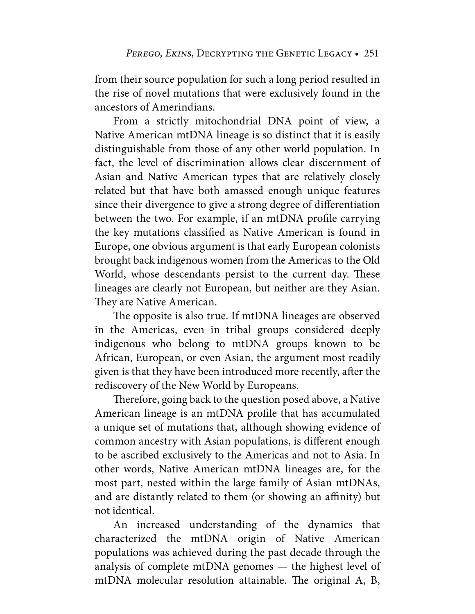from their source population for such a long period resulted in the rise of novel mutations that were exclusively found in the ancestors of Amerindians.

From a strictly mitochondrial DNA point of view, a Native American mtDNA lineage is so distinct that it is easily distinguishable from those of any other world population. In fact, the level of discrimination allows clear discernment of Asian and Native American types that are relatively closely related but that have both amassed enough unique features since their divergence to give a strong degree of differentiation between the two. For example, if an mtDNA profile carrying the key mutations classified as Native American is found in Europe, one obvious argument is that early European colonists brought back indigenous women from the Americas to the Old World, whose descendants persist to the current day. These lineages are clearly not European, but neither are they Asian. They are Native American.

The opposite is also true. If mtDNA lineages are observed in the Americas, even in tribal groups considered deeply indigenous who belong to mtDNA groups known to be African, European, or even Asian, the argument most readily given is that they have been introduced more recently, after the rediscovery of the New World by Europeans.

Therefore, going back to the question posed above, a Native American lineage is an mtDNA profile that has accumulated a unique set of mutations that, although showing evidence of common ancestry with Asian populations, is different enough to be ascribed exclusively to the Americas and not to Asia. In other words, Native American mtDNA lineages are, for the most part, nested within the large family of Asian mtDNAs, and are distantly related to them (or showing an affinity) but not identical.

An increased understanding of the dynamics that characterized the mtDNA origin of Native American populations was achieved during the past decade through the analysis of complete mtDNA genomes — the highest level of mtDNA molecular resolution attainable. The original A, B,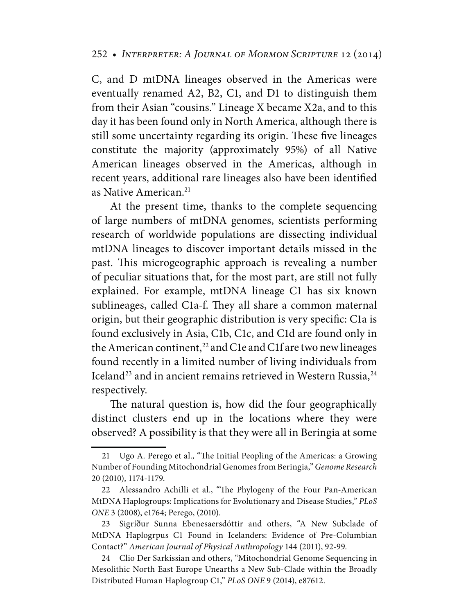C, and D mtDNA lineages observed in the Americas were eventually renamed A2, B2, C1, and D1 to distinguish them from their Asian "cousins." Lineage X became X2a, and to this day it has been found only in North America, although there is still some uncertainty regarding its origin. These five lineages constitute the majority (approximately 95%) of all Native American lineages observed in the Americas, although in recent years, additional rare lineages also have been identified as Native American.<sup>21</sup>

At the present time, thanks to the complete sequencing of large numbers of mtDNA genomes, scientists performing research of worldwide populations are dissecting individual mtDNA lineages to discover important details missed in the past. This microgeographic approach is revealing a number of peculiar situations that, for the most part, are still not fully explained. For example, mtDNA lineage C1 has six known sublineages, called C1a-f. They all share a common maternal origin, but their geographic distribution is very specific: C1a is found exclusively in Asia, C1b, C1c, and C1d are found only in the American continent,<sup>22</sup> and C1e and C1f are two new lineages found recently in a limited number of living individuals from Iceland<sup>23</sup> and in ancient remains retrieved in Western Russia,  $24$ respectively.

The natural question is, how did the four geographically distinct clusters end up in the locations where they were observed? A possibility is that they were all in Beringia at some

 <sup>21</sup> Ugo A. Perego et al., "The Initial Peopling of the Americas: a Growing Number of Founding Mitochondrial Genomes from Beringia," *Genome Research* 20 (2010), 1174-1179.

 <sup>22</sup> Alessandro Achilli et al., "The Phylogeny of the Four Pan-American MtDNA Haplogroups: Implications for Evolutionary and Disease Studies," *PLoS ONE* 3 (2008), e1764; Perego, (2010).

 <sup>23</sup> Sigríður Sunna Ebenesaersdóttir and others, "A New Subclade of MtDNA Haplogrpus C1 Found in Icelanders: Evidence of Pre-Columbian Contact?" *American Journal of Physical Anthropology* 144 (2011), 92-99.

 <sup>24</sup> Clio Der Sarkissian and others, "Mitochondrial Genome Sequencing in Mesolithic North East Europe Unearths a New Sub-Clade within the Broadly Distributed Human Haplogroup C1," *PLoS ONE* 9 (2014), e87612.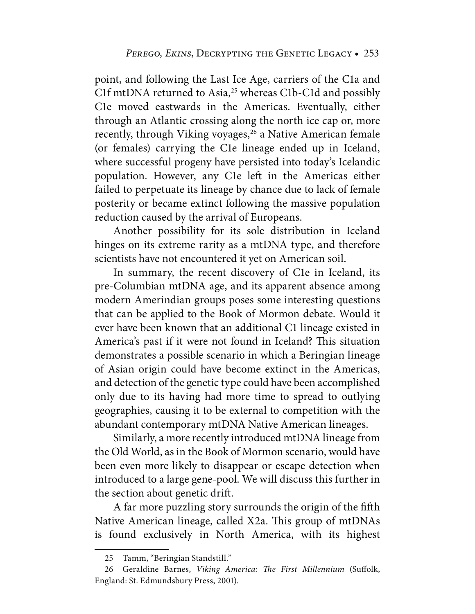point, and following the Last Ice Age, carriers of the C1a and C1f mtDNA returned to Asia,<sup>25</sup> whereas C1b-C1d and possibly C1e moved eastwards in the Americas. Eventually, either through an Atlantic crossing along the north ice cap or, more recently, through Viking voyages,<sup>26</sup> a Native American female (or females) carrying the C1e lineage ended up in Iceland, where successful progeny have persisted into today's Icelandic population. However, any C1e left in the Americas either failed to perpetuate its lineage by chance due to lack of female posterity or became extinct following the massive population reduction caused by the arrival of Europeans.

Another possibility for its sole distribution in Iceland hinges on its extreme rarity as a mtDNA type, and therefore scientists have not encountered it yet on American soil.

In summary, the recent discovery of C1e in Iceland, its pre-Columbian mtDNA age, and its apparent absence among modern Amerindian groups poses some interesting questions that can be applied to the Book of Mormon debate. Would it ever have been known that an additional C1 lineage existed in America's past if it were not found in Iceland? This situation demonstrates a possible scenario in which a Beringian lineage of Asian origin could have become extinct in the Americas, and detection of the genetic type could have been accomplished only due to its having had more time to spread to outlying geographies, causing it to be external to competition with the abundant contemporary mtDNA Native American lineages.

Similarly, a more recently introduced mtDNA lineage from the Old World, as in the Book of Mormon scenario, would have been even more likely to disappear or escape detection when introduced to a large gene-pool. We will discuss this further in the section about genetic drift.

A far more puzzling story surrounds the origin of the fifth Native American lineage, called X2a. This group of mtDNAs is found exclusively in North America, with its highest

 <sup>25</sup> Tamm, "Beringian Standstill."

 <sup>26</sup> Geraldine Barnes, *Viking America: The First Millennium* (Suffolk, England: St. Edmundsbury Press, 2001).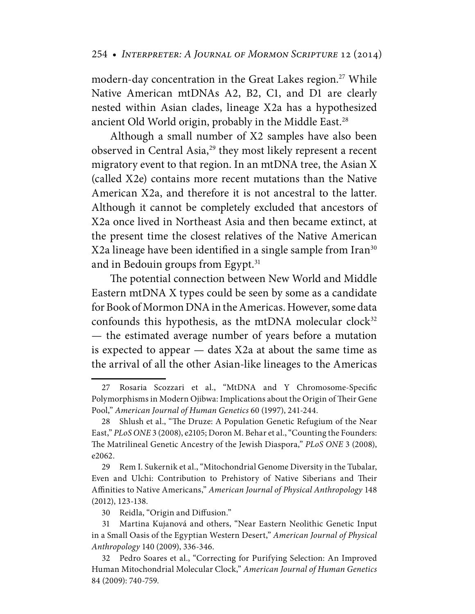modern-day concentration in the Great Lakes region.<sup>27</sup> While Native American mtDNAs A2, B2, C1, and D1 are clearly nested within Asian clades, lineage X2a has a hypothesized ancient Old World origin, probably in the Middle East.<sup>28</sup>

Although a small number of X2 samples have also been observed in Central Asia,<sup>29</sup> they most likely represent a recent migratory event to that region. In an mtDNA tree, the Asian X (called X2e) contains more recent mutations than the Native American X2a, and therefore it is not ancestral to the latter. Although it cannot be completely excluded that ancestors of X2a once lived in Northeast Asia and then became extinct, at the present time the closest relatives of the Native American X2a lineage have been identified in a single sample from Iran<sup>30</sup> and in Bedouin groups from Egypt.<sup>31</sup>

The potential connection between New World and Middle Eastern mtDNA X types could be seen by some as a candidate for Book of Mormon DNA in the Americas. However, some data confounds this hypothesis, as the mtDNA molecular clock $32$ — the estimated average number of years before a mutation is expected to appear — dates X2a at about the same time as the arrival of all the other Asian-like lineages to the Americas

 <sup>27</sup> Rosaria Scozzari et al., "MtDNA and Y Chromosome-Specific Polymorphisms in Modern Ojibwa: Implications about the Origin of Their Gene Pool," *American Journal of Human Genetics* 60 (1997), 241-244.

 <sup>28</sup> Shlush et al., "The Druze: A Population Genetic Refugium of the Near East," *PLoS ONE* 3 (2008), e2105; Doron M. Behar et al., "Counting the Founders: The Matrilineal Genetic Ancestry of the Jewish Diaspora," *PLoS ONE* 3 (2008), e2062.

 <sup>29</sup> Rem I. Sukernik et al., "Mitochondrial Genome Diversity in the Tubalar, Even and Ulchi: Contribution to Prehistory of Native Siberians and Their Affinities to Native Americans," *American Journal of Physical Anthropology* 148 (2012), 123-138.

 <sup>30</sup> Reidla, "Origin and Diffusion."

 <sup>31</sup> Martina Kujanová and others, "Near Eastern Neolithic Genetic Input in a Small Oasis of the Egyptian Western Desert," *American Journal of Physical Anthropology* 140 (2009), 336-346.

 <sup>32</sup> Pedro Soares et al., "Correcting for Purifying Selection: An Improved Human Mitochondrial Molecular Clock," *American Journal of Human Genetics* 84 (2009): 740-759.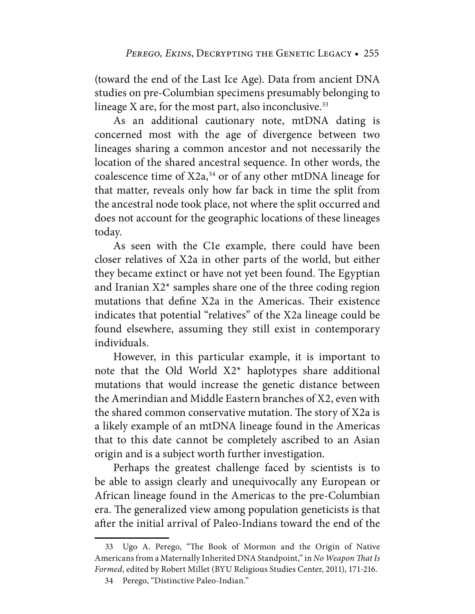(toward the end of the Last Ice Age). Data from ancient DNA studies on pre-Columbian specimens presumably belonging to lineage X are, for the most part, also inconclusive. $33$ 

As an additional cautionary note, mtDNA dating is concerned most with the age of divergence between two lineages sharing a common ancestor and not necessarily the location of the shared ancestral sequence. In other words, the coalescence time of  $X2a$ ,<sup>34</sup> or of any other mtDNA lineage for that matter, reveals only how far back in time the split from the ancestral node took place, not where the split occurred and does not account for the geographic locations of these lineages today.

As seen with the C1e example, there could have been closer relatives of X2a in other parts of the world, but either they became extinct or have not yet been found. The Egyptian and Iranian  $X2^*$  samples share one of the three coding region mutations that define X2a in the Americas. Their existence indicates that potential "relatives" of the X2a lineage could be found elsewhere, assuming they still exist in contemporary individuals.

However, in this particular example, it is important to note that the Old World X2\* haplotypes share additional mutations that would increase the genetic distance between the Amerindian and Middle Eastern branches of X2, even with the shared common conservative mutation. The story of X2a is a likely example of an mtDNA lineage found in the Americas that to this date cannot be completely ascribed to an Asian origin and is a subject worth further investigation.

Perhaps the greatest challenge faced by scientists is to be able to assign clearly and unequivocally any European or African lineage found in the Americas to the pre-Columbian era. The generalized view among population geneticists is that after the initial arrival of Paleo-Indians toward the end of the

 <sup>33</sup> Ugo A. Perego, "The Book of Mormon and the Origin of Native Americans from a Maternally Inherited DNA Standpoint," in *No Weapon That Is Formed*, edited by Robert Millet (BYU Religious Studies Center, 2011), 171-216.

 <sup>34</sup> Perego, "Distinctive Paleo-Indian."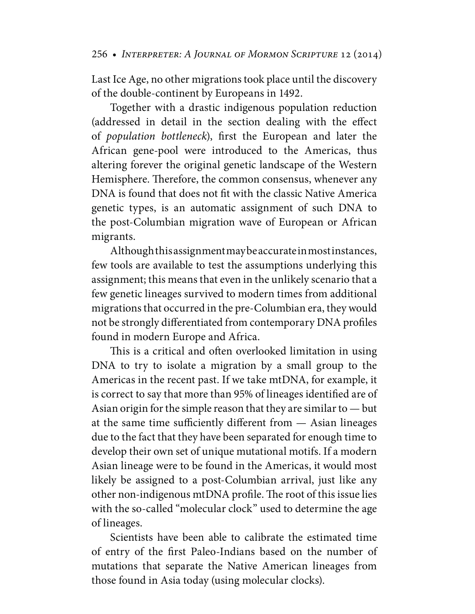Last Ice Age, no other migrations took place until the discovery of the double-continent by Europeans in 1492.

Together with a drastic indigenous population reduction (addressed in detail in the section dealing with the effect of *population bottleneck*), first the European and later the African gene-pool were introduced to the Americas, thus altering forever the original genetic landscape of the Western Hemisphere. Therefore, the common consensus, whenever any DNA is found that does not fit with the classic Native America genetic types, is an automatic assignment of such DNA to the post-Columbian migration wave of European or African migrants.

Although this assignment may be accurate in most instances, few tools are available to test the assumptions underlying this assignment; this means that even in the unlikely scenario that a few genetic lineages survived to modern times from additional migrations that occurred in the pre-Columbian era, they would not be strongly differentiated from contemporary DNA profiles found in modern Europe and Africa.

This is a critical and often overlooked limitation in using DNA to try to isolate a migration by a small group to the Americas in the recent past. If we take mtDNA, for example, it is correct to say that more than 95% of lineages identified are of Asian origin for the simple reason that they are similar to — but at the same time sufficiently different from — Asian lineages due to the fact that they have been separated for enough time to develop their own set of unique mutational motifs. If a modern Asian lineage were to be found in the Americas, it would most likely be assigned to a post-Columbian arrival, just like any other non-indigenous mtDNA profile. The root of this issue lies with the so-called "molecular clock" used to determine the age of lineages.

Scientists have been able to calibrate the estimated time of entry of the first Paleo-Indians based on the number of mutations that separate the Native American lineages from those found in Asia today (using molecular clocks).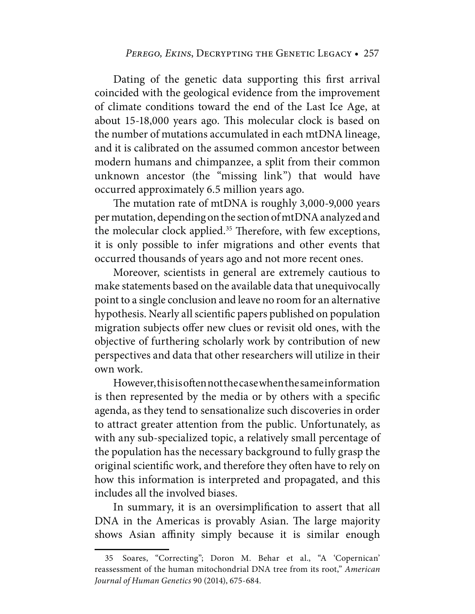#### PEREGO, EKINS, DECRYPTING THE GENETIC LEGACY • 257

Dating of the genetic data supporting this first arrival coincided with the geological evidence from the improvement of climate conditions toward the end of the Last Ice Age, at about 15-18,000 years ago. This molecular clock is based on the number of mutations accumulated in each mtDNA lineage, and it is calibrated on the assumed common ancestor between modern humans and chimpanzee, a split from their common unknown ancestor (the "missing link") that would have occurred approximately 6.5 million years ago.

The mutation rate of mtDNA is roughly 3,000-9,000 years per mutation, depending on the section of mtDNA analyzed and the molecular clock applied.<sup>35</sup> Therefore, with few exceptions, it is only possible to infer migrations and other events that occurred thousands of years ago and not more recent ones.

Moreover, scientists in general are extremely cautious to make statements based on the available data that unequivocally point to a single conclusion and leave no room for an alternative hypothesis. Nearly all scientific papers published on population migration subjects offer new clues or revisit old ones, with the objective of furthering scholarly work by contribution of new perspectives and data that other researchers will utilize in their own work.

However, this is often not the case when the same information is then represented by the media or by others with a specific agenda, as they tend to sensationalize such discoveries in order to attract greater attention from the public. Unfortunately, as with any sub-specialized topic, a relatively small percentage of the population has the necessary background to fully grasp the original scientific work, and therefore they often have to rely on how this information is interpreted and propagated, and this includes all the involved biases.

In summary, it is an oversimplification to assert that all DNA in the Americas is provably Asian. The large majority shows Asian affinity simply because it is similar enough

 <sup>35</sup> Soares, "Correcting"; Doron M. Behar et al., "A 'Copernican' reassessment of the human mitochondrial DNA tree from its root," *American Journal of Human Genetics* 90 (2014), 675-684.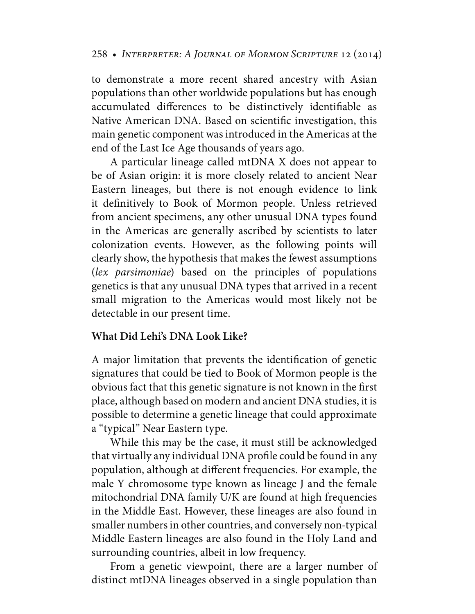to demonstrate a more recent shared ancestry with Asian populations than other worldwide populations but has enough accumulated differences to be distinctively identifiable as Native American DNA. Based on scientific investigation, this main genetic component was introduced in the Americas at the end of the Last Ice Age thousands of years ago.

A particular lineage called mtDNA X does not appear to be of Asian origin: it is more closely related to ancient Near Eastern lineages, but there is not enough evidence to link it definitively to Book of Mormon people. Unless retrieved from ancient specimens, any other unusual DNA types found in the Americas are generally ascribed by scientists to later colonization events. However, as the following points will clearly show, the hypothesis that makes the fewest assumptions (*lex parsimoniae*) based on the principles of populations genetics is that any unusual DNA types that arrived in a recent small migration to the Americas would most likely not be detectable in our present time.

# **What Did Lehi's DNA Look Like?**

A major limitation that prevents the identification of genetic signatures that could be tied to Book of Mormon people is the obvious fact that this genetic signature is not known in the first place, although based on modern and ancient DNA studies, it is possible to determine a genetic lineage that could approximate a "typical" Near Eastern type.

While this may be the case, it must still be acknowledged that virtually any individual DNA profile could be found in any population, although at different frequencies. For example, the male Y chromosome type known as lineage J and the female mitochondrial DNA family U/K are found at high frequencies in the Middle East. However, these lineages are also found in smaller numbers in other countries, and conversely non-typical Middle Eastern lineages are also found in the Holy Land and surrounding countries, albeit in low frequency.

From a genetic viewpoint, there are a larger number of distinct mtDNA lineages observed in a single population than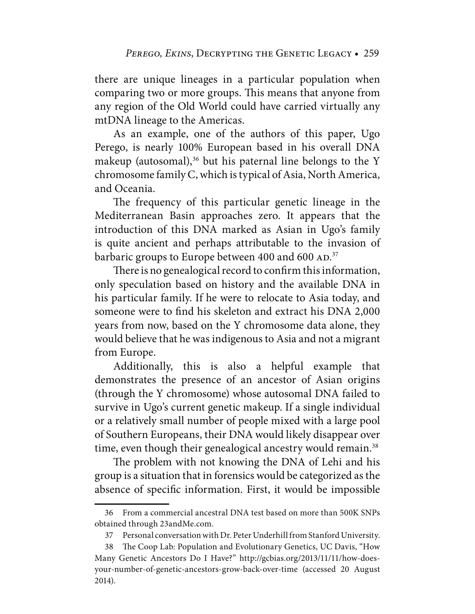there are unique lineages in a particular population when comparing two or more groups. This means that anyone from any region of the Old World could have carried virtually any mtDNA lineage to the Americas.

As an example, one of the authors of this paper, Ugo Perego, is nearly 100% European based in his overall DNA makeup (autosomal), $36$  but his paternal line belongs to the Y chromosome family C, which is typical of Asia, North America, and Oceania.

The frequency of this particular genetic lineage in the Mediterranean Basin approaches zero. It appears that the introduction of this DNA marked as Asian in Ugo's family is quite ancient and perhaps attributable to the invasion of barbaric groups to Europe between 400 and 600  $AD$ .<sup>37</sup>

There is no genealogical record to confirm this information, only speculation based on history and the available DNA in his particular family. If he were to relocate to Asia today, and someone were to find his skeleton and extract his DNA 2,000 years from now, based on the Y chromosome data alone, they would believe that he was indigenous to Asia and not a migrant from Europe.

Additionally, this is also a helpful example that demonstrates the presence of an ancestor of Asian origins (through the Y chromosome) whose autosomal DNA failed to survive in Ugo's current genetic makeup. If a single individual or a relatively small number of people mixed with a large pool of Southern Europeans, their DNA would likely disappear over time, even though their genealogical ancestry would remain.<sup>38</sup>

The problem with not knowing the DNA of Lehi and his group is a situation that in forensics would be categorized as the absence of specific information. First, it would be impossible

 <sup>36</sup> From a commercial ancestral DNA test based on more than 500K SNPs obtained through 23andMe.com.

 <sup>37</sup> Personal conversation with Dr. Peter Underhill from Stanford University.

 <sup>38</sup> The Coop Lab: Population and Evolutionary Genetics, UC Davis, "How Many Genetic Ancestors Do I Have?" [http://gcbias.org/2013/11/11/how-do](http://gcbias.org/2013/11/11/how-does-your-number-of-genetic-ancestors-grow-back-over-time)es[your-number-of-genetic-ancestors-grow-back-over-time \(accessed 20 August](http://gcbias.org/2013/11/11/how-does-your-number-of-genetic-ancestors-grow-back-over-time)  2014).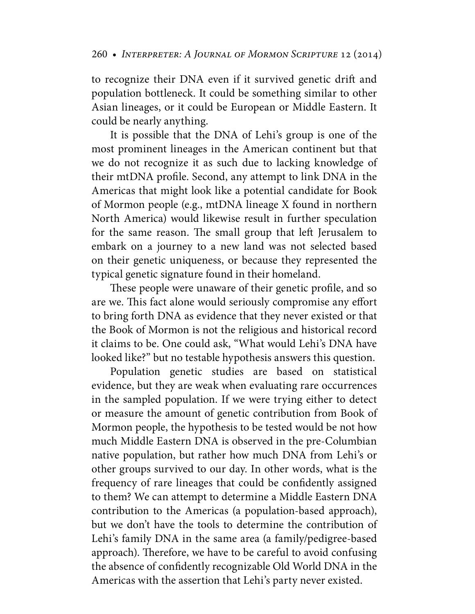to recognize their DNA even if it survived genetic drift and population bottleneck. It could be something similar to other Asian lineages, or it could be European or Middle Eastern. It could be nearly anything.

It is possible that the DNA of Lehi's group is one of the most prominent lineages in the American continent but that we do not recognize it as such due to lacking knowledge of their mtDNA profile. Second, any attempt to link DNA in the Americas that might look like a potential candidate for Book of Mormon people (e.g., mtDNA lineage X found in northern North America) would likewise result in further speculation for the same reason. The small group that left Jerusalem to embark on a journey to a new land was not selected based on their genetic uniqueness, or because they represented the typical genetic signature found in their homeland.

These people were unaware of their genetic profile, and so are we. This fact alone would seriously compromise any effort to bring forth DNA as evidence that they never existed or that the Book of Mormon is not the religious and historical record it claims to be. One could ask, "What would Lehi's DNA have looked like?" but no testable hypothesis answers this question.

Population genetic studies are based on statistical evidence, but they are weak when evaluating rare occurrences in the sampled population. If we were trying either to detect or measure the amount of genetic contribution from Book of Mormon people, the hypothesis to be tested would be not how much Middle Eastern DNA is observed in the pre-Columbian native population, but rather how much DNA from Lehi's or other groups survived to our day. In other words, what is the frequency of rare lineages that could be confidently assigned to them? We can attempt to determine a Middle Eastern DNA contribution to the Americas (a population-based approach), but we don't have the tools to determine the contribution of Lehi's family DNA in the same area (a family/pedigree-based approach). Therefore, we have to be careful to avoid confusing the absence of confidently recognizable Old World DNA in the Americas with the assertion that Lehi's party never existed.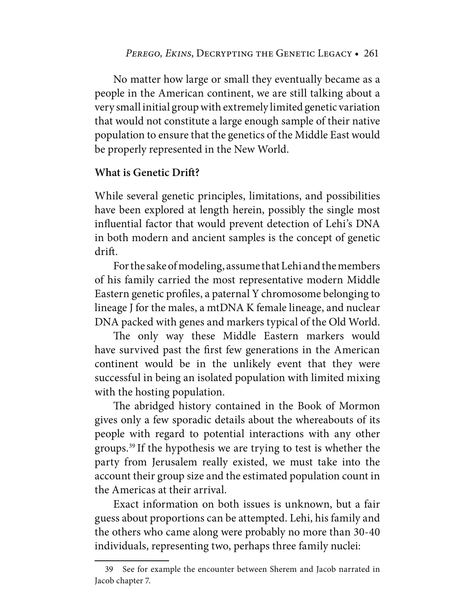No matter how large or small they eventually became as a people in the American continent, we are still talking about a very small initial group with extremely limited genetic variation that would not constitute a large enough sample of their native population to ensure that the genetics of the Middle East would be properly represented in the New World.

# **What is Genetic Drift?**

While several genetic principles, limitations, and possibilities have been explored at length herein, possibly the single most influential factor that would prevent detection of Lehi's DNA in both modern and ancient samples is the concept of genetic drift.

For the sake of modeling, assume that Lehi and the members of his family carried the most representative modern Middle Eastern genetic profiles, a paternal Y chromosome belonging to lineage J for the males, a mtDNA K female lineage, and nuclear DNA packed with genes and markers typical of the Old World.

The only way these Middle Eastern markers would have survived past the first few generations in the American continent would be in the unlikely event that they were successful in being an isolated population with limited mixing with the hosting population.

The abridged history contained in the Book of Mormon gives only a few sporadic details about the whereabouts of its people with regard to potential interactions with any other groups.39 If the hypothesis we are trying to test is whether the party from Jerusalem really existed, we must take into the account their group size and the estimated population count in the Americas at their arrival.

Exact information on both issues is unknown, but a fair guess about proportions can be attempted. Lehi, his family and the others who came along were probably no more than 30-40 individuals, representing two, perhaps three family nuclei:

 <sup>39</sup> See for example the encounter between Sherem and Jacob narrated in Jacob chapter 7.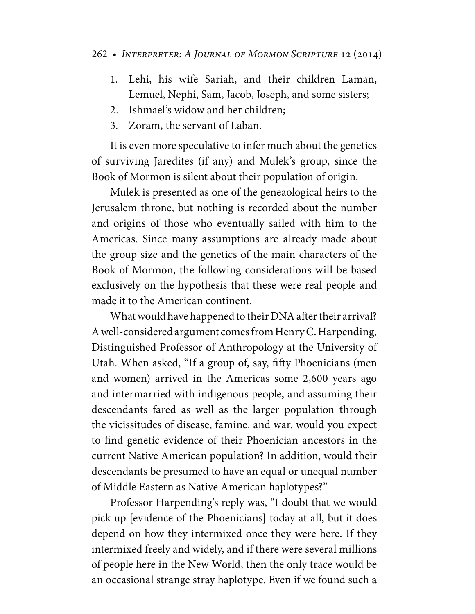- 1. Lehi, his wife Sariah, and their children Laman, Lemuel, Nephi, Sam, Jacob, Joseph, and some sisters;
- 2. Ishmael's widow and her children;
- 3. Zoram, the servant of Laban.

It is even more speculative to infer much about the genetics of surviving Jaredites (if any) and Mulek's group, since the Book of Mormon is silent about their population of origin.

Mulek is presented as one of the geneaological heirs to the Jerusalem throne, but nothing is recorded about the number and origins of those who eventually sailed with him to the Americas. Since many assumptions are already made about the group size and the genetics of the main characters of the Book of Mormon, the following considerations will be based exclusively on the hypothesis that these were real people and made it to the American continent.

What would have happened to their DNA after their arrival? A well-considered argument comes from Henry C. Harpending, Distinguished Professor of Anthropology at the University of Utah. When asked, "If a group of, say, fifty Phoenicians (men and women) arrived in the Americas some 2,600 years ago and intermarried with indigenous people, and assuming their descendants fared as well as the larger population through the vicissitudes of disease, famine, and war, would you expect to find genetic evidence of their Phoenician ancestors in the current Native American population? In addition, would their descendants be presumed to have an equal or unequal number of Middle Eastern as Native American haplotypes?"

Professor Harpending's reply was, "I doubt that we would pick up [evidence of the Phoenicians] today at all, but it does depend on how they intermixed once they were here. If they intermixed freely and widely, and if there were several millions of people here in the New World, then the only trace would be an occasional strange stray haplotype. Even if we found such a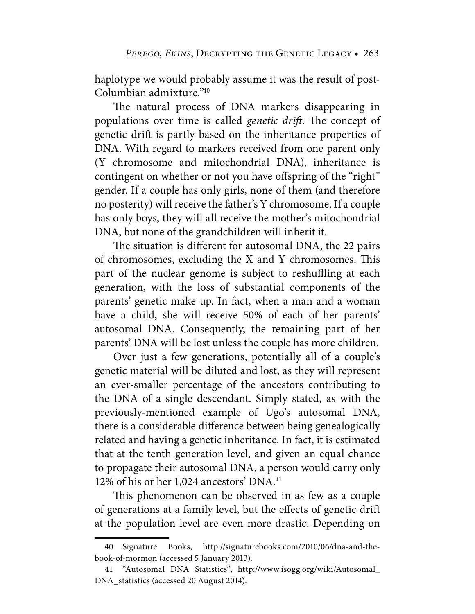haplotype we would probably assume it was the result of post-Columbian admixture."40

The natural process of DNA markers disappearing in populations over time is called *genetic drift*. The concept of genetic drift is partly based on the inheritance properties of DNA. With regard to markers received from one parent only (Y chromosome and mitochondrial DNA), inheritance is contingent on whether or not you have offspring of the "right" gender. If a couple has only girls, none of them (and therefore no posterity) will receive the father's Y chromosome. If a couple has only boys, they will all receive the mother's mitochondrial DNA, but none of the grandchildren will inherit it.

The situation is different for autosomal DNA, the 22 pairs of chromosomes, excluding the X and Y chromosomes. This part of the nuclear genome is subject to reshuffling at each generation, with the loss of substantial components of the parents' genetic make-up. In fact, when a man and a woman have a child, she will receive 50% of each of her parents' autosomal DNA. Consequently, the remaining part of her parents' DNA will be lost unless the couple has more children.

Over just a few generations, potentially all of a couple's genetic material will be diluted and lost, as they will represent an ever-smaller percentage of the ancestors contributing to the DNA of a single descendant. Simply stated, as with the previously-mentioned example of Ugo's autosomal DNA, there is a considerable difference between being genealogically related and having a genetic inheritance. In fact, it is estimated that at the tenth generation level, and given an equal chance to propagate their autosomal DNA, a person would carry only 12% of his or her 1,024 ancestors' DNA.<sup>41</sup>

This phenomenon can be observed in as few as a couple of generations at a family level, but the effects of genetic drift at the population level are even more drastic. Depending on

 [<sup>40</sup> Signature Books, http://signaturebooks.com/2010/06/dna-and-the](http://signaturebooks.com/2010/06/dna-and-the-book-of-mormon)book-[of-mormon \(ac](http://signaturebooks.com/2010/06/dna-and-the-book-of-mormon)cessed 5 January 2013).

 <sup>41 &</sup>quot;Autosomal DNA Statistics", [http://www.isogg.org/wiki/Autosomal\\_](http://www.isogg.org/wiki/Autosomal_) DNA\_statistics (accessed 20 August 2014).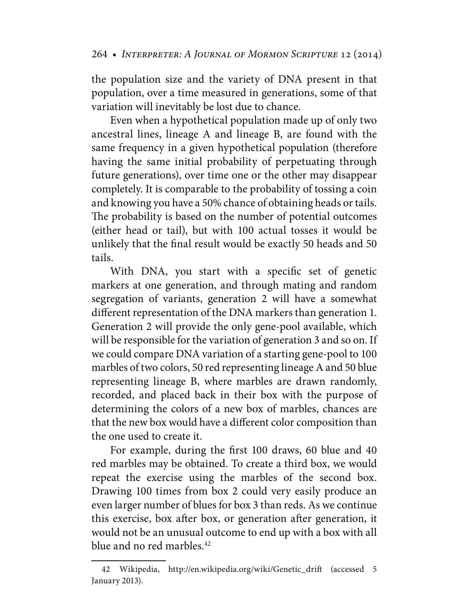the population size and the variety of DNA present in that population, over a time measured in generations, some of that variation will inevitably be lost due to chance.

Even when a hypothetical population made up of only two ancestral lines, lineage A and lineage B, are found with the same frequency in a given hypothetical population (therefore having the same initial probability of perpetuating through future generations), over time one or the other may disappear completely. It is comparable to the probability of tossing a coin and knowing you have a 50% chance of obtaining heads or tails. The probability is based on the number of potential outcomes (either head or tail), but with 100 actual tosses it would be unlikely that the final result would be exactly 50 heads and 50 tails.

With DNA, you start with a specific set of genetic markers at one generation, and through mating and random segregation of variants, generation 2 will have a somewhat different representation of the DNA markers than generation 1. Generation 2 will provide the only gene-pool available, which will be responsible for the variation of generation 3 and so on. If we could compare DNA variation of a starting gene-pool to 100 marbles of two colors, 50 red representing lineage A and 50 blue representing lineage B, where marbles are drawn randomly, recorded, and placed back in their box with the purpose of determining the colors of a new box of marbles, chances are that the new box would have a different color composition than the one used to create it.

For example, during the first 100 draws, 60 blue and 40 red marbles may be obtained. To create a third box, we would repeat the exercise using the marbles of the second box. Drawing 100 times from box 2 could very easily produce an even larger number of blues for box 3 than reds. As we continue this exercise, box after box, or generation after generation, it would not be an unusual outcome to end up with a box with all blue and no red marbles.<sup>42</sup>

 <sup>42</sup> Wikipedia, [http://en.wikipedia.org/wiki/Genetic\\_drift \(](http://en.wikipedia.org/wiki/Genetic_drift)accessed 5 January 2013).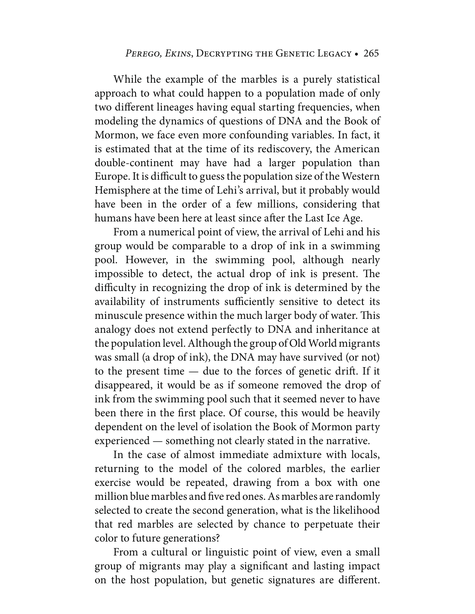While the example of the marbles is a purely statistical approach to what could happen to a population made of only two different lineages having equal starting frequencies, when modeling the dynamics of questions of DNA and the Book of Mormon, we face even more confounding variables. In fact, it is estimated that at the time of its rediscovery, the American double-continent may have had a larger population than Europe. It is difficult to guess the population size of the Western Hemisphere at the time of Lehi's arrival, but it probably would have been in the order of a few millions, considering that humans have been here at least since after the Last Ice Age.

From a numerical point of view, the arrival of Lehi and his group would be comparable to a drop of ink in a swimming pool. However, in the swimming pool, although nearly impossible to detect, the actual drop of ink is present. The difficulty in recognizing the drop of ink is determined by the availability of instruments sufficiently sensitive to detect its minuscule presence within the much larger body of water. This analogy does not extend perfectly to DNA and inheritance at the population level. Although the group of Old World migrants was small (a drop of ink), the DNA may have survived (or not) to the present time — due to the forces of genetic drift. If it disappeared, it would be as if someone removed the drop of ink from the swimming pool such that it seemed never to have been there in the first place. Of course, this would be heavily dependent on the level of isolation the Book of Mormon party experienced — something not clearly stated in the narrative.

In the case of almost immediate admixture with locals, returning to the model of the colored marbles, the earlier exercise would be repeated, drawing from a box with one million blue marbles and five red ones. As marbles are randomly selected to create the second generation, what is the likelihood that red marbles are selected by chance to perpetuate their color to future generations?

From a cultural or linguistic point of view, even a small group of migrants may play a significant and lasting impact on the host population, but genetic signatures are different.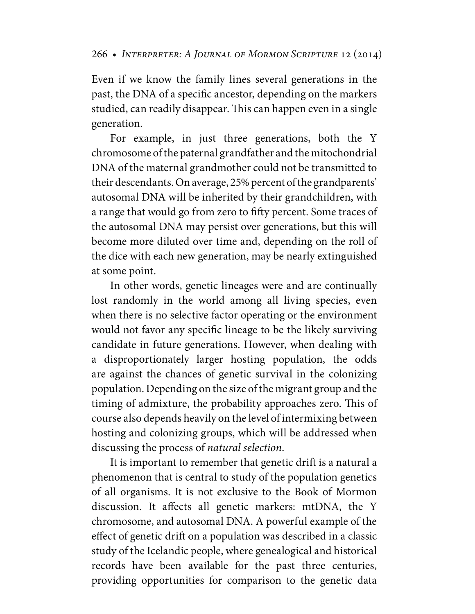Even if we know the family lines several generations in the past, the DNA of a specific ancestor, depending on the markers studied, can readily disappear. This can happen even in a single generation.

For example, in just three generations, both the Y chromosome of the paternal grandfather and the mitochondrial DNA of the maternal grandmother could not be transmitted to their descendants. On average, 25% percent of the grandparents' autosomal DNA will be inherited by their grandchildren, with a range that would go from zero to fifty percent. Some traces of the autosomal DNA may persist over generations, but this will become more diluted over time and, depending on the roll of the dice with each new generation, may be nearly extinguished at some point.

In other words, genetic lineages were and are continually lost randomly in the world among all living species, even when there is no selective factor operating or the environment would not favor any specific lineage to be the likely surviving candidate in future generations. However, when dealing with a disproportionately larger hosting population, the odds are against the chances of genetic survival in the colonizing population. Depending on the size of the migrant group and the timing of admixture, the probability approaches zero. This of course also depends heavily on the level of intermixing between hosting and colonizing groups, which will be addressed when discussing the process of *natural selection*.

It is important to remember that genetic drift is a natural a phenomenon that is central to study of the population genetics of all organisms. It is not exclusive to the Book of Mormon discussion. It affects all genetic markers: mtDNA, the Y chromosome, and autosomal DNA. A powerful example of the effect of genetic drift on a population was described in a classic study of the Icelandic people, where genealogical and historical records have been available for the past three centuries, providing opportunities for comparison to the genetic data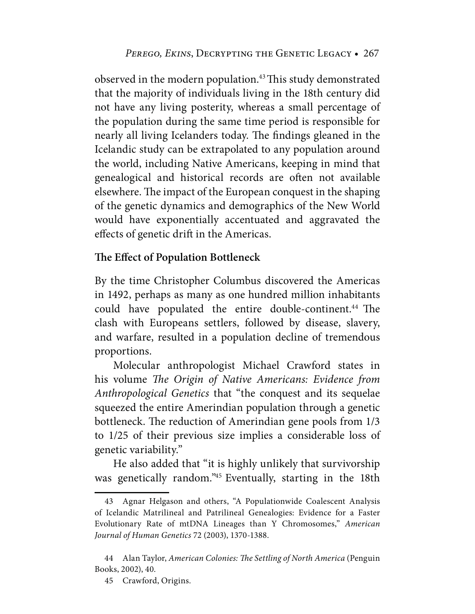observed in the modern population.<sup>43</sup> This study demonstrated that the majority of individuals living in the 18th century did not have any living posterity, whereas a small percentage of the population during the same time period is responsible for nearly all living Icelanders today. The findings gleaned in the Icelandic study can be extrapolated to any population around the world, including Native Americans, keeping in mind that genealogical and historical records are often not available elsewhere. The impact of the European conquest in the shaping of the genetic dynamics and demographics of the New World would have exponentially accentuated and aggravated the effects of genetic drift in the Americas.

# **The Effect of Population Bottleneck**

By the time Christopher Columbus discovered the Americas in 1492, perhaps as many as one hundred million inhabitants could have populated the entire double-continent.<sup>44</sup> The clash with Europeans settlers, followed by disease, slavery, and warfare, resulted in a population decline of tremendous proportions.

Molecular anthropologist Michael Crawford states in his volume *The Origin of Native Americans: Evidence from Anthropological Genetics* that "the conquest and its sequelae squeezed the entire Amerindian population through a genetic bottleneck. The reduction of Amerindian gene pools from 1/3 to 1/25 of their previous size implies a considerable loss of genetic variability."

He also added that "it is highly unlikely that survivorship was genetically random."45 Eventually, starting in the 18th

 <sup>43</sup> Agnar Helgason and others, "A Populationwide Coalescent Analysis of Icelandic Matrilineal and Patrilineal Genealogies: Evidence for a Faster Evolutionary Rate of mtDNA Lineages than Y Chromosomes," *American Journal of Human Genetics* 72 (2003), 1370-1388.

 <sup>44</sup> Alan Taylor, *American Colonies: The Settling of North America* (Penguin Books, 2002), 40.

 <sup>45</sup> Crawford, Origins.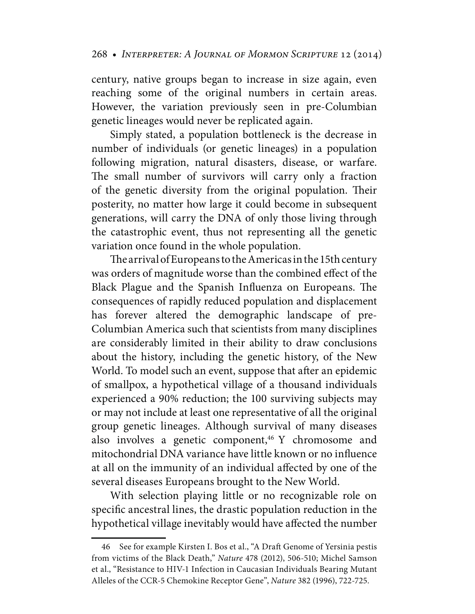century, native groups began to increase in size again, even reaching some of the original numbers in certain areas. However, the variation previously seen in pre-Columbian genetic lineages would never be replicated again.

Simply stated, a population bottleneck is the decrease in number of individuals (or genetic lineages) in a population following migration, natural disasters, disease, or warfare. The small number of survivors will carry only a fraction of the genetic diversity from the original population. Their posterity, no matter how large it could become in subsequent generations, will carry the DNA of only those living through the catastrophic event, thus not representing all the genetic variation once found in the whole population.

The arrival of Europeans to the Americas in the 15th century was orders of magnitude worse than the combined effect of the Black Plague and the Spanish Influenza on Europeans. The consequences of rapidly reduced population and displacement has forever altered the demographic landscape of pre-Columbian America such that scientists from many disciplines are considerably limited in their ability to draw conclusions about the history, including the genetic history, of the New World. To model such an event, suppose that after an epidemic of smallpox, a hypothetical village of a thousand individuals experienced a 90% reduction; the 100 surviving subjects may or may not include at least one representative of all the original group genetic lineages. Although survival of many diseases also involves a genetic component, $46$  Y chromosome and mitochondrial DNA variance have little known or no influence at all on the immunity of an individual affected by one of the several diseases Europeans brought to the New World.

With selection playing little or no recognizable role on specific ancestral lines, the drastic population reduction in the hypothetical village inevitably would have affected the number

 <sup>46</sup> See for example Kirsten I. Bos et al., "A Draft Genome of Yersinia pestis from victims of the Black Death," *Nature* 478 (2012), 506-510; Michel Samson et al., "Resistance to HIV-1 Infection in Caucasian Individuals Bearing Mutant Alleles of the CCR-5 Chemokine Receptor Gene", *Nature* 382 (1996), 722-725.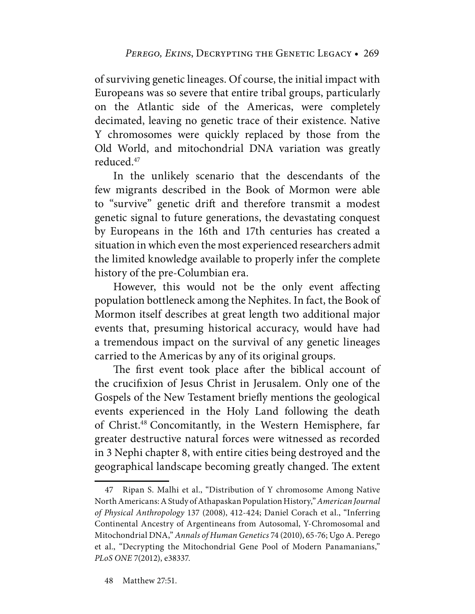of surviving genetic lineages. Of course, the initial impact with Europeans was so severe that entire tribal groups, particularly on the Atlantic side of the Americas, were completely decimated, leaving no genetic trace of their existence. Native Y chromosomes were quickly replaced by those from the Old World, and mitochondrial DNA variation was greatly reduced.47

In the unlikely scenario that the descendants of the few migrants described in the Book of Mormon were able to "survive" genetic drift and therefore transmit a modest genetic signal to future generations, the devastating conquest by Europeans in the 16th and 17th centuries has created a situation in which even the most experienced researchers admit the limited knowledge available to properly infer the complete history of the pre-Columbian era.

However, this would not be the only event affecting population bottleneck among the Nephites. In fact, the Book of Mormon itself describes at great length two additional major events that, presuming historical accuracy, would have had a tremendous impact on the survival of any genetic lineages carried to the Americas by any of its original groups.

The first event took place after the biblical account of the crucifixion of Jesus Christ in Jerusalem. Only one of the Gospels of the New Testament briefly mentions the geological events experienced in the Holy Land following the death of Christ.48 Concomitantly, in the Western Hemisphere, far greater destructive natural forces were witnessed as recorded in 3 Nephi chapter 8, with entire cities being destroyed and the geographical landscape becoming greatly changed. The extent

 <sup>47</sup> Ripan S. Malhi et al., "Distribution of Y chromosome Among Native North Americans: A Study of Athapaskan Population History," *American Journal of Physical Anthropology* 137 (2008), 412-424; Daniel Corach et al., "Inferring Continental Ancestry of Argentineans from Autosomal, Y-Chromosomal and Mitochondrial DNA," *Annals of Human Genetics* 74 (2010), 65-76; Ugo A. Perego et al., "Decrypting the Mitochondrial Gene Pool of Modern Panamanians," *PLoS ONE* 7(2012), e38337.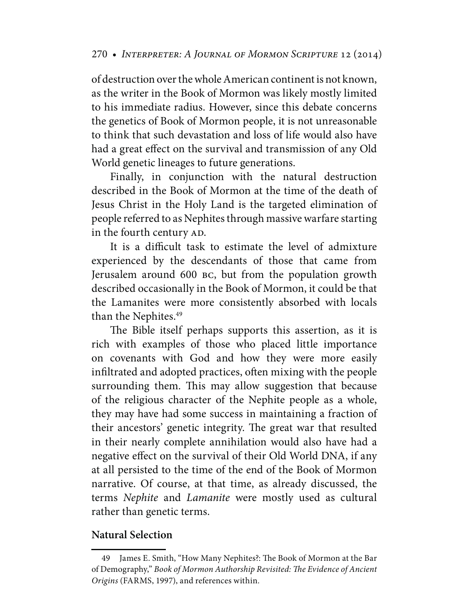of destruction over the whole American continent is not known, as the writer in the Book of Mormon was likely mostly limited to his immediate radius. However, since this debate concerns the genetics of Book of Mormon people, it is not unreasonable to think that such devastation and loss of life would also have had a great effect on the survival and transmission of any Old World genetic lineages to future generations.

Finally, in conjunction with the natural destruction described in the Book of Mormon at the time of the death of Jesus Christ in the Holy Land is the targeted elimination of people referred to as Nephites through massive warfare starting in the fourth century AD.

It is a difficult task to estimate the level of admixture experienced by the descendants of those that came from Jerusalem around 600 bc, but from the population growth described occasionally in the Book of Mormon, it could be that the Lamanites were more consistently absorbed with locals than the Nephites.<sup>49</sup>

The Bible itself perhaps supports this assertion, as it is rich with examples of those who placed little importance on covenants with God and how they were more easily infiltrated and adopted practices, often mixing with the people surrounding them. This may allow suggestion that because of the religious character of the Nephite people as a whole, they may have had some success in maintaining a fraction of their ancestors' genetic integrity. The great war that resulted in their nearly complete annihilation would also have had a negative effect on the survival of their Old World DNA, if any at all persisted to the time of the end of the Book of Mormon narrative. Of course, at that time, as already discussed, the terms *Nephite* and *Lamanite* were mostly used as cultural rather than genetic terms.

# **Natural Selection**

 <sup>49</sup> James E. Smith, "How Many Nephites?: The Book of Mormon at the Bar of Demography," *Book of Mormon Authorship Revisited: The Evidence of Ancient Origins* (FARMS, 1997), and references within.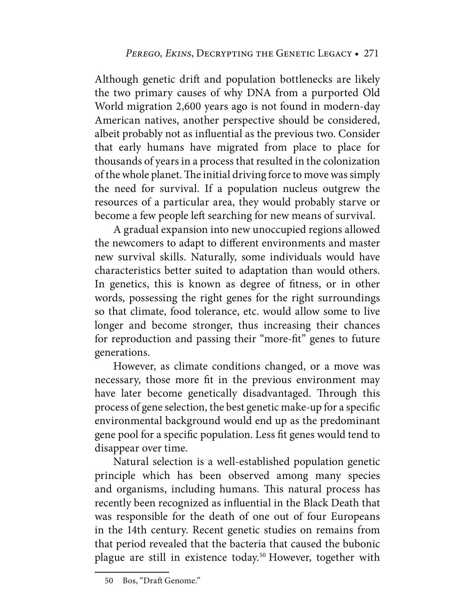Although genetic drift and population bottlenecks are likely the two primary causes of why DNA from a purported Old World migration 2,600 years ago is not found in modern-day American natives, another perspective should be considered, albeit probably not as influential as the previous two. Consider that early humans have migrated from place to place for thousands of years in a process that resulted in the colonization of the whole planet. The initial driving force to move was simply the need for survival. If a population nucleus outgrew the resources of a particular area, they would probably starve or become a few people left searching for new means of survival.

A gradual expansion into new unoccupied regions allowed the newcomers to adapt to different environments and master new survival skills. Naturally, some individuals would have characteristics better suited to adaptation than would others. In genetics, this is known as degree of fitness, or in other words, possessing the right genes for the right surroundings so that climate, food tolerance, etc. would allow some to live longer and become stronger, thus increasing their chances for reproduction and passing their "more-fit" genes to future generations.

However, as climate conditions changed, or a move was necessary, those more fit in the previous environment may have later become genetically disadvantaged. Through this process of gene selection, the best genetic make-up for a specific environmental background would end up as the predominant gene pool for a specific population. Less fit genes would tend to disappear over time.

Natural selection is a well-established population genetic principle which has been observed among many species and organisms, including humans. This natural process has recently been recognized as influential in the Black Death that was responsible for the death of one out of four Europeans in the 14th century. Recent genetic studies on remains from that period revealed that the bacteria that caused the bubonic plague are still in existence today.<sup>50</sup> However, together with

 <sup>50</sup> Bos, "Draft Genome."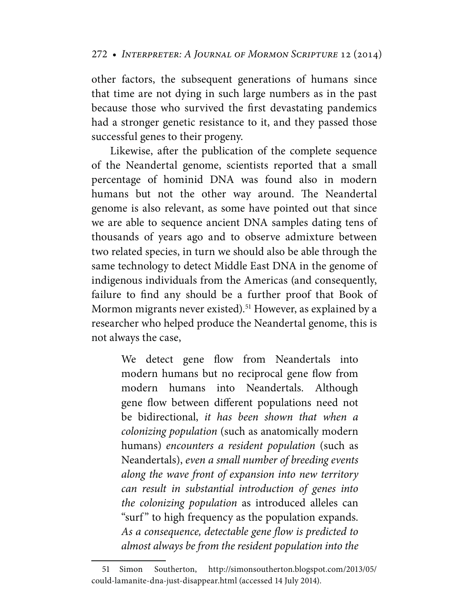other factors, the subsequent generations of humans since that time are not dying in such large numbers as in the past because those who survived the first devastating pandemics had a stronger genetic resistance to it, and they passed those successful genes to their progeny.

Likewise, after the publication of the complete sequence of the Neandertal genome, scientists reported that a small percentage of hominid DNA was found also in modern humans but not the other way around. The Neandertal genome is also relevant, as some have pointed out that since we are able to sequence ancient DNA samples dating tens of thousands of years ago and to observe admixture between two related species, in turn we should also be able through the same technology to detect Middle East DNA in the genome of indigenous individuals from the Americas (and consequently, failure to find any should be a further proof that Book of Mormon migrants never existed).<sup>51</sup> However, as explained by a researcher who helped produce the Neandertal genome, this is not always the case,

> We detect gene flow from Neandertals into modern humans but no reciprocal gene flow from modern humans into Neandertals. Although gene flow between different populations need not be bidirectional, *it has been shown that when a colonizing population* (such as anatomically modern humans) *encounters a resident population* (such as Neandertals), *even a small number of breeding events along the wave front of expansion into new territory can result in substantial introduction of genes into the colonizing population* as introduced alleles can "surf" to high frequency as the population expands. *As a consequence, detectable gene flow is predicted to almost always be from the resident population into the*

 <sup>51</sup> Simon Southerton, <http://simonsoutherton.blogspot.com/2013/05/> could-lamanite-dna-just-disappear.html (accessed 14 July 2014).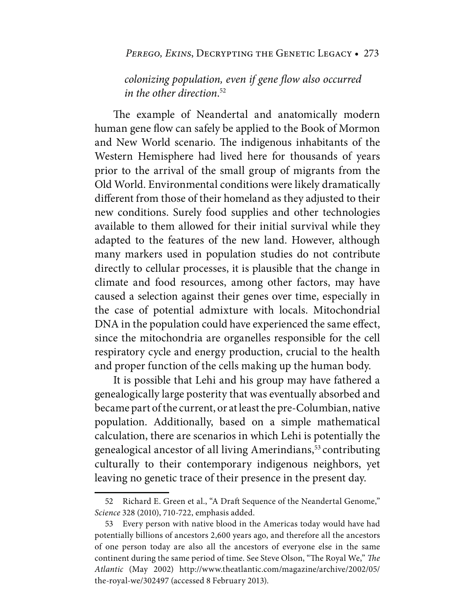#### PEREGO, EKINS, DECRYPTING THE GENETIC LEGACY . 273

*colonizing population, even if gene flow also occurred in the other direction*. 52

The example of Neandertal and anatomically modern human gene flow can safely be applied to the Book of Mormon and New World scenario. The indigenous inhabitants of the Western Hemisphere had lived here for thousands of years prior to the arrival of the small group of migrants from the Old World. Environmental conditions were likely dramatically different from those of their homeland as they adjusted to their new conditions. Surely food supplies and other technologies available to them allowed for their initial survival while they adapted to the features of the new land. However, although many markers used in population studies do not contribute directly to cellular processes, it is plausible that the change in climate and food resources, among other factors, may have caused a selection against their genes over time, especially in the case of potential admixture with locals. Mitochondrial DNA in the population could have experienced the same effect, since the mitochondria are organelles responsible for the cell respiratory cycle and energy production, crucial to the health and proper function of the cells making up the human body.

It is possible that Lehi and his group may have fathered a genealogically large posterity that was eventually absorbed and became part of the current, or at least the pre-Columbian, native population. Additionally, based on a simple mathematical calculation, there are scenarios in which Lehi is potentially the genealogical ancestor of all living Amerindians,<sup>53</sup> contributing culturally to their contemporary indigenous neighbors, yet leaving no genetic trace of their presence in the present day.

 <sup>52</sup> Richard E. Green et al., "A Draft Sequence of the Neandertal Genome," *Science* 328 (2010), 710-722, emphasis added.

 <sup>53</sup> Every person with native blood in the Americas today would have had potentially billions of ancestors 2,600 years ago, and therefore all the ancestors of one person today are also all the ancestors of everyone else in the same continent during the same period of time. See Steve Olson, "The Royal We," *The Atlantic* (May 2002) <http://www.theatlantic.com/magazine/archive/2002/05/> the-royal-we/302497 (accessed 8 February 2013).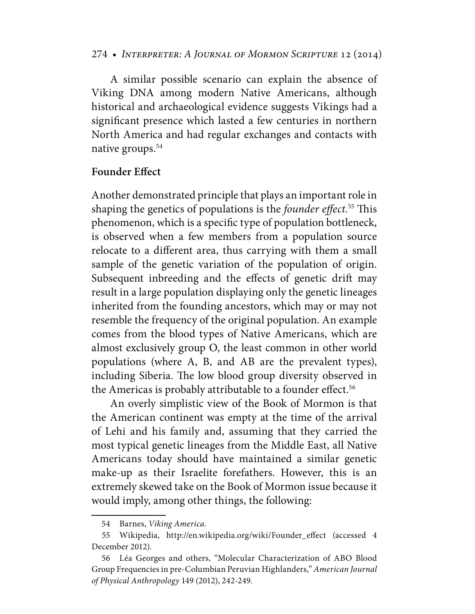A similar possible scenario can explain the absence of Viking DNA among modern Native Americans, although historical and archaeological evidence suggests Vikings had a significant presence which lasted a few centuries in northern North America and had regular exchanges and contacts with native groups.<sup>54</sup>

#### **Founder Effect**

Another demonstrated principle that plays an important role in shaping the genetics of populations is the *founder effect.*55 This phenomenon, which is a specific type of population bottleneck, is observed when a few members from a population source relocate to a different area, thus carrying with them a small sample of the genetic variation of the population of origin. Subsequent inbreeding and the effects of genetic drift may result in a large population displaying only the genetic lineages inherited from the founding ancestors, which may or may not resemble the frequency of the original population. An example comes from the blood types of Native Americans, which are almost exclusively group O, the least common in other world populations (where A, B, and AB are the prevalent types), including Siberia. The low blood group diversity observed in the Americas is probably attributable to a founder effect.<sup>56</sup>

An overly simplistic view of the Book of Mormon is that the American continent was empty at the time of the arrival of Lehi and his family and, assuming that they carried the most typical genetic lineages from the Middle East, all Native Americans today should have maintained a similar genetic make-up as their Israelite forefathers. However, this is an extremely skewed take on the Book of Mormon issue because it would imply, among other things, the following:

 <sup>54</sup> Barnes, *Viking America*.

 <sup>55</sup> Wikipedia, [http://en.wikipedia.org/wiki/Founder\\_effect \(](http://en.wikipedia.org/wiki/Founder_effect)accessed 4 December 2012).

 <sup>56</sup> Léa Georges and others, "Molecular Characterization of ABO Blood Group Frequencies in pre-Columbian Peruvian Highlanders," *American Journal of Physical Anthropology* 149 (2012), 242-249.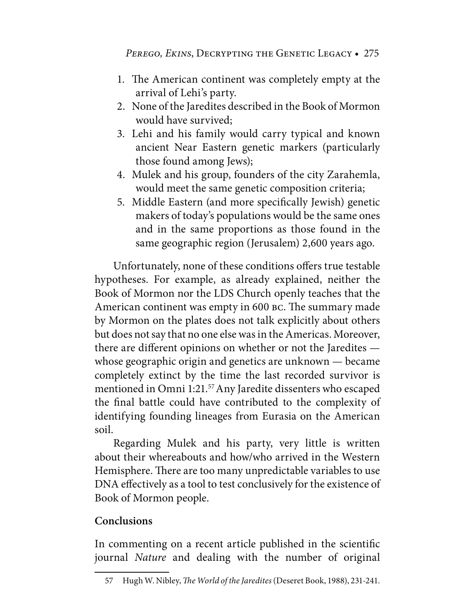- 1. The American continent was completely empty at the arrival of Lehi's party.
- 2. None of the Jaredites described in the Book of Mormon would have survived;
- 3. Lehi and his family would carry typical and known ancient Near Eastern genetic markers (particularly those found among Jews);
- 4. Mulek and his group, founders of the city Zarahemla, would meet the same genetic composition criteria;
- 5. Middle Eastern (and more specifically Jewish) genetic makers of today's populations would be the same ones and in the same proportions as those found in the same geographic region (Jerusalem) 2,600 years ago.

Unfortunately, none of these conditions offers true testable hypotheses. For example, as already explained, neither the Book of Mormon nor the LDS Church openly teaches that the American continent was empty in 600 bc. The summary made by Mormon on the plates does not talk explicitly about others but does not say that no one else was in the Americas. Moreover, there are different opinions on whether or not the Jaredites whose geographic origin and genetics are unknown — became completely extinct by the time the last recorded survivor is mentioned in Omni 1:21.57 Any Jaredite dissenters who escaped the final battle could have contributed to the complexity of identifying founding lineages from Eurasia on the American soil.

Regarding Mulek and his party, very little is written about their whereabouts and how/who arrived in the Western Hemisphere. There are too many unpredictable variables to use DNA effectively as a tool to test conclusively for the existence of Book of Mormon people.

# **Conclusions**

In commenting on a recent article published in the scientific journal *Nature* and dealing with the number of original

 <sup>57</sup> Hugh W. Nibley, *The World of the Jaredites* (Deseret Book, 1988), 231-241.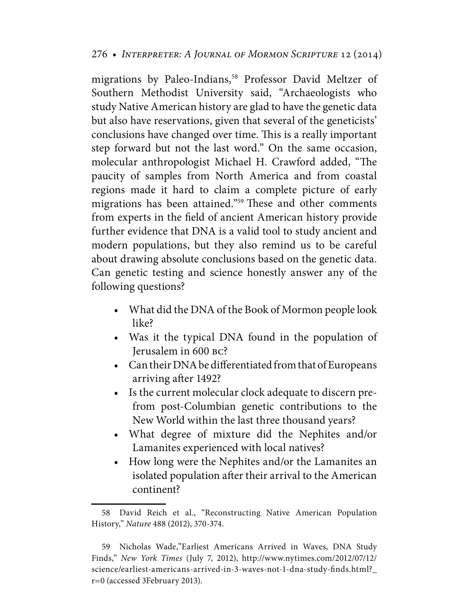migrations by Paleo-Indians,<sup>58</sup> Professor David Meltzer of Southern Methodist University said, "Archaeologists who study Native American history are glad to have the genetic data but also have reservations, given that several of the geneticists' conclusions have changed over time. This is a really important step forward but not the last word." On the same occasion, molecular anthropologist Michael H. Crawford added, "The paucity of samples from North America and from coastal regions made it hard to claim a complete picture of early migrations has been attained."59 These and other comments from experts in the field of ancient American history provide further evidence that DNA is a valid tool to study ancient and modern populations, but they also remind us to be careful about drawing absolute conclusions based on the genetic data. Can genetic testing and science honestly answer any of the following questions?

- What did the DNA of the Book of Mormon people look like?
- Was it the typical DNA found in the population of Jerusalem in 600 bc?
- Can their DNA be differentiated from that of Europeans arriving after 1492?
- Is the current molecular clock adequate to discern prefrom post-Columbian genetic contributions to the New World within the last three thousand years?
- What degree of mixture did the Nephites and/or Lamanites experienced with local natives?
- How long were the Nephites and/or the Lamanites an isolated population after their arrival to the American continent?

 <sup>58</sup> David Reich et al., "Reconstructing Native American Population History," *Nature* 488 (2012), 370-374.

 <sup>59</sup> Nicholas Wade,"Earliest Americans Arrived in Waves, DNA Study Finds," *New York Times* (July 7, 2012), <http://www.nytimes.com/2012/07/12/> science/earliest-americans-arrived-in-3-waves-not-1-dna-study-finds.html?\_ r=0 (accessed 3February 2013).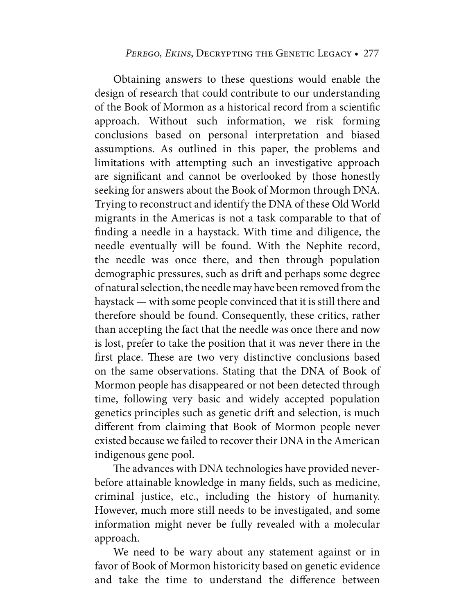Obtaining answers to these questions would enable the design of research that could contribute to our understanding of the Book of Mormon as a historical record from a scientific approach. Without such information, we risk forming conclusions based on personal interpretation and biased assumptions. As outlined in this paper, the problems and limitations with attempting such an investigative approach are significant and cannot be overlooked by those honestly seeking for answers about the Book of Mormon through DNA. Trying to reconstruct and identify the DNA of these Old World migrants in the Americas is not a task comparable to that of finding a needle in a haystack. With time and diligence, the needle eventually will be found. With the Nephite record, the needle was once there, and then through population demographic pressures, such as drift and perhaps some degree of natural selection, the needle may have been removed from the haystack — with some people convinced that it is still there and therefore should be found. Consequently, these critics, rather than accepting the fact that the needle was once there and now is lost, prefer to take the position that it was never there in the first place. These are two very distinctive conclusions based on the same observations. Stating that the DNA of Book of Mormon people has disappeared or not been detected through time, following very basic and widely accepted population genetics principles such as genetic drift and selection, is much different from claiming that Book of Mormon people never existed because we failed to recover their DNA in the American indigenous gene pool.

The advances with DNA technologies have provided neverbefore attainable knowledge in many fields, such as medicine, criminal justice, etc., including the history of humanity. However, much more still needs to be investigated, and some information might never be fully revealed with a molecular approach.

We need to be wary about any statement against or in favor of Book of Mormon historicity based on genetic evidence and take the time to understand the difference between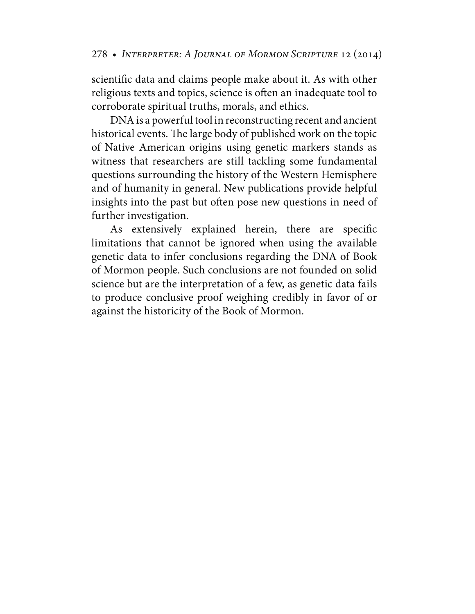scientific data and claims people make about it. As with other religious texts and topics, science is often an inadequate tool to corroborate spiritual truths, morals, and ethics.

DNA is a powerful tool in reconstructing recent and ancient historical events. The large body of published work on the topic of Native American origins using genetic markers stands as witness that researchers are still tackling some fundamental questions surrounding the history of the Western Hemisphere and of humanity in general. New publications provide helpful insights into the past but often pose new questions in need of further investigation.

As extensively explained herein, there are specific limitations that cannot be ignored when using the available genetic data to infer conclusions regarding the DNA of Book of Mormon people. Such conclusions are not founded on solid science but are the interpretation of a few, as genetic data fails to produce conclusive proof weighing credibly in favor of or against the historicity of the Book of Mormon.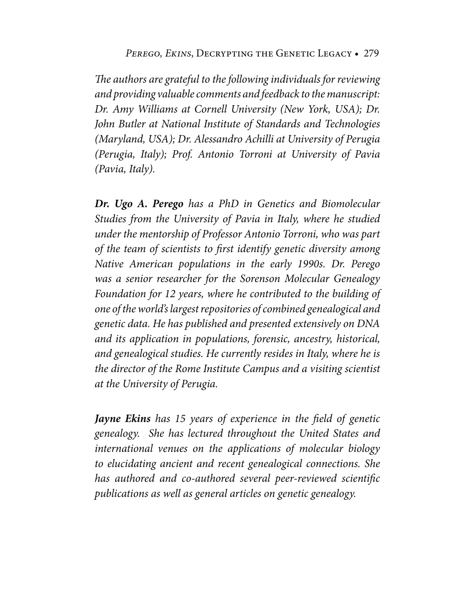*The authors are grateful to the following individuals for reviewing and providing valuable comments and feedback to the manuscript: Dr. Amy Williams at Cornell University (New York, USA); Dr. John Butler at National Institute of Standards and Technologies (Maryland, USA); Dr. Alessandro Achilli at University of Perugia (Perugia, Italy); Prof. Antonio Torroni at University of Pavia (Pavia, Italy).*

**Dr. Ugo A. Perego** *has a PhD in Genetics and Biomolecular Studies from the University of Pavia in Italy, where he studied under the mentorship of Professor Antonio Torroni, who was part of the team of scientists to first identify genetic diversity among Native American populations in the early 1990s. Dr. Perego was a senior researcher for the Sorenson Molecular Genealogy Foundation for 12 years, where he contributed to the building of one of the world's largest repositories of combined genealogical and genetic data. He has published and presented extensively on DNA and its application in populations, forensic, ancestry, historical, and genealogical studies. He currently resides in Italy, where he is the director of the Rome Institute Campus and a visiting scientist at the University of Perugia.*

**Jayne Ekins** *has 15 years of experience in the field of genetic genealogy. She has lectured throughout the United States and international venues on the applications of molecular biology to elucidating ancient and recent genealogical connections. She has authored and co-authored several peer-reviewed scientific publications as well as general articles on genetic genealogy.*